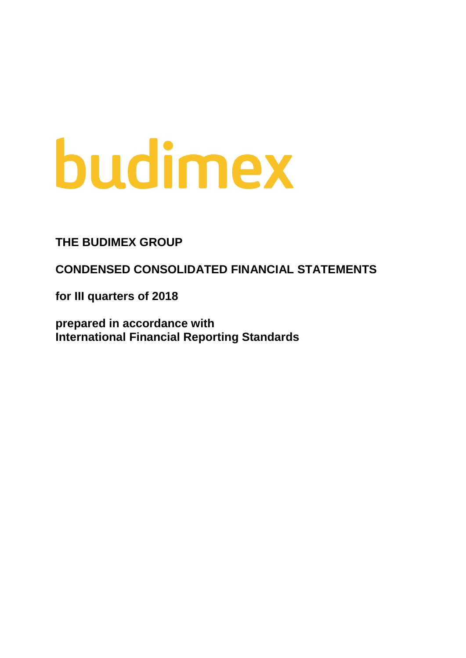# budimex

# **THE BUDIMEX GROUP**

**CONDENSED CONSOLIDATED FINANCIAL STATEMENTS**

**for III quarters of 2018**

**prepared in accordance with International Financial Reporting Standards**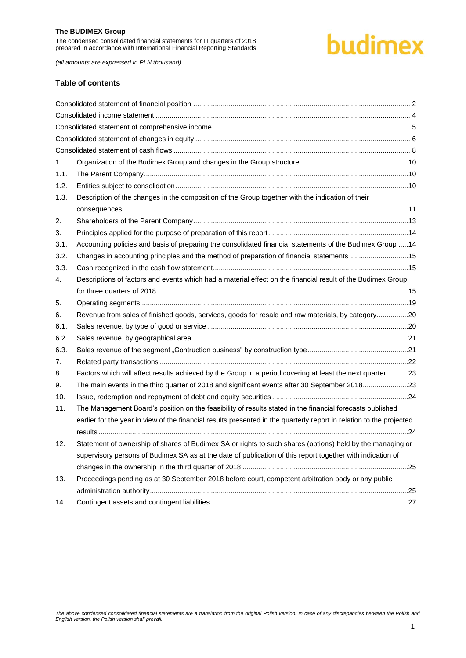# budimex

*(all amounts are expressed in PLN thousand)*

#### **Table of contents**

| 1.   |                                                                                                                      |  |
|------|----------------------------------------------------------------------------------------------------------------------|--|
| 1.1. |                                                                                                                      |  |
| 1.2. |                                                                                                                      |  |
| 1.3. | Description of the changes in the composition of the Group together with the indication of their                     |  |
|      |                                                                                                                      |  |
| 2.   |                                                                                                                      |  |
| 3.   |                                                                                                                      |  |
| 3.1. | Accounting policies and basis of preparing the consolidated financial statements of the Budimex Group 14             |  |
| 3.2. | Changes in accounting principles and the method of preparation of financial statements15                             |  |
| 3.3. |                                                                                                                      |  |
| 4.   | Descriptions of factors and events which had a material effect on the financial result of the Budimex Group          |  |
|      |                                                                                                                      |  |
| 5.   |                                                                                                                      |  |
| 6.   | Revenue from sales of finished goods, services, goods for resale and raw materials, by category20                    |  |
| 6.1. |                                                                                                                      |  |
| 6.2. |                                                                                                                      |  |
| 6.3. |                                                                                                                      |  |
| 7.   |                                                                                                                      |  |
| 8.   | Factors which will affect results achieved by the Group in a period covering at least the next quarter23             |  |
| 9.   | The main events in the third quarter of 2018 and significant events after 30 September 201823                        |  |
| 10.  |                                                                                                                      |  |
| 11.  | The Management Board's position on the feasibility of results stated in the financial forecasts published            |  |
|      | earlier for the year in view of the financial results presented in the quarterly report in relation to the projected |  |
|      |                                                                                                                      |  |
| 12.  | Statement of ownership of shares of Budimex SA or rights to such shares (options) held by the managing or            |  |
|      | supervisory persons of Budimex SA as at the date of publication of this report together with indication of           |  |
|      |                                                                                                                      |  |
| 13.  | Proceedings pending as at 30 September 2018 before court, competent arbitration body or any public                   |  |
|      |                                                                                                                      |  |
| 14.  |                                                                                                                      |  |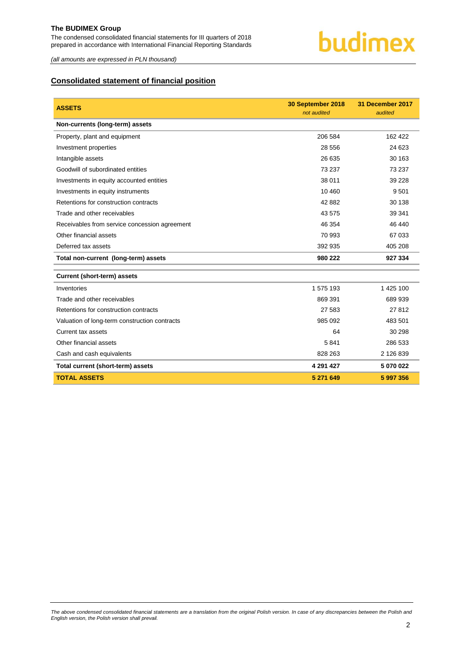

*(all amounts are expressed in PLN thousand)*

### <span id="page-2-0"></span>**Consolidated statement of financial position**

| <b>ASSETS</b>                                 | 30 September 2018 | 31 December 2017 |
|-----------------------------------------------|-------------------|------------------|
|                                               | not audited       | audited          |
| Non-currents (long-term) assets               |                   |                  |
| Property, plant and equipment                 | 206 584           | 162 422          |
| Investment properties                         | 28 556            | 24 623           |
| Intangible assets                             | 26 635            | 30 163           |
| Goodwill of subordinated entities             | 73 237            | 73 237           |
| Investments in equity accounted entities      | 38 011            | 39 228           |
| Investments in equity instruments             | 10 460            | 9 5 0 1          |
| Retentions for construction contracts         | 42 882            | 30 138           |
| Trade and other receivables                   | 43 575            | 39 341           |
| Receivables from service concession agreement | 46 354            | 46 440           |
| Other financial assets                        | 70 993            | 67 033           |
| Deferred tax assets                           | 392 935           | 405 208          |
| Total non-current (long-term) assets          | 980 222           | 927 334          |
| <b>Current (short-term) assets</b>            |                   |                  |
| Inventories                                   | 1 575 193         | 1 425 100        |
| Trade and other receivables                   | 869 391           | 689 939          |
| Retentions for construction contracts         | 27 583            | 27812            |
| Valuation of long-term construction contracts | 985 092           | 483 501          |
| Current tax assets                            | 64                | 30 298           |
| Other financial assets                        | 5841              | 286 533          |
| Cash and cash equivalents                     | 828 263           | 2 126 839        |
| Total current (short-term) assets             | 4 291 4 27        | 5 070 022        |
| <b>TOTAL ASSETS</b>                           | 5 271 649         | 5 997 356        |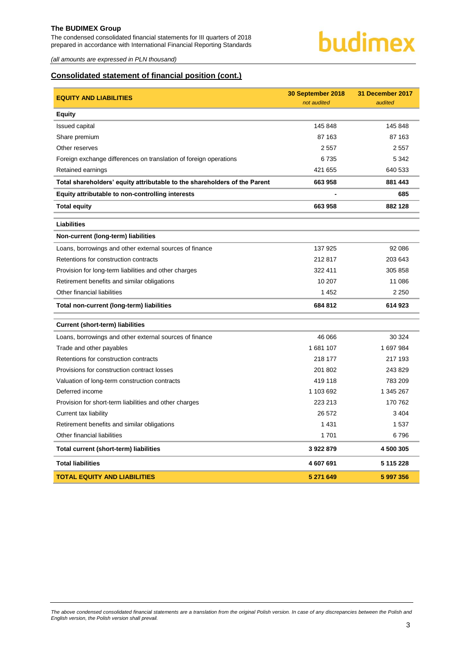The condensed consolidated financial statements for III quarters of 2018 prepared in accordance with International Financial Reporting Standards



*(all amounts are expressed in PLN thousand)*

### **Consolidated statement of financial position (cont.)**

| <b>EQUITY AND LIABILITIES</b>                                             | 30 September 2018<br>not audited | 31 December 2017<br>audited |
|---------------------------------------------------------------------------|----------------------------------|-----------------------------|
| <b>Equity</b>                                                             |                                  |                             |
| <b>Issued capital</b>                                                     | 145 848                          | 145 848                     |
| Share premium                                                             | 87 163                           | 87 163                      |
| Other reserves                                                            | 2 5 5 7                          | 2 5 5 7                     |
| Foreign exchange differences on translation of foreign operations         | 6735                             | 5 3 4 2                     |
| Retained earnings                                                         | 421 655                          | 640 533                     |
| Total shareholders' equity attributable to the shareholders of the Parent | 663 958                          | 881 443                     |
| Equity attributable to non-controlling interests                          |                                  | 685                         |
| <b>Total equity</b>                                                       | 663 958                          | 882 128                     |
| <b>Liabilities</b>                                                        |                                  |                             |
| Non-current (long-term) liabilities                                       |                                  |                             |
| Loans, borrowings and other external sources of finance                   | 137 925                          | 92 086                      |
| Retentions for construction contracts                                     | 212817                           | 203 643                     |
| Provision for long-term liabilities and other charges                     | 322 411                          | 305 858                     |
| Retirement benefits and similar obligations                               | 10 207                           | 11 086                      |
| Other financial liabilities                                               | 1452                             | 2 2 5 0                     |
| Total non-current (long-term) liabilities                                 | 684 812                          | 614 923                     |
| <b>Current (short-term) liabilities</b>                                   |                                  |                             |
| Loans, borrowings and other external sources of finance                   | 46 066                           | 30 324                      |
| Trade and other payables                                                  | 1681107                          | 1 697 984                   |
| Retentions for construction contracts                                     | 218 177                          | 217 193                     |
| Provisions for construction contract losses                               | 201 802                          | 243 829                     |
| Valuation of long-term construction contracts                             | 419 118                          | 783 209                     |
| Deferred income                                                           | 1 103 692                        | 1 345 267                   |
| Provision for short-term liabilities and other charges                    | 223 213                          | 170 762                     |
| Current tax liability                                                     | 26 572                           | 3 4 0 4                     |
| Retirement benefits and similar obligations                               | 1 4 3 1                          | 1537                        |
| Other financial liabilities                                               | 1701                             | 6796                        |
| Total current (short-term) liabilities                                    | 3922879                          | 4 500 305                   |
| <b>Total liabilities</b>                                                  | 4 607 691                        | 5 115 228                   |
| <b>TOTAL EQUITY AND LIABILITIES</b>                                       | 5 271 649                        | 5 997 356                   |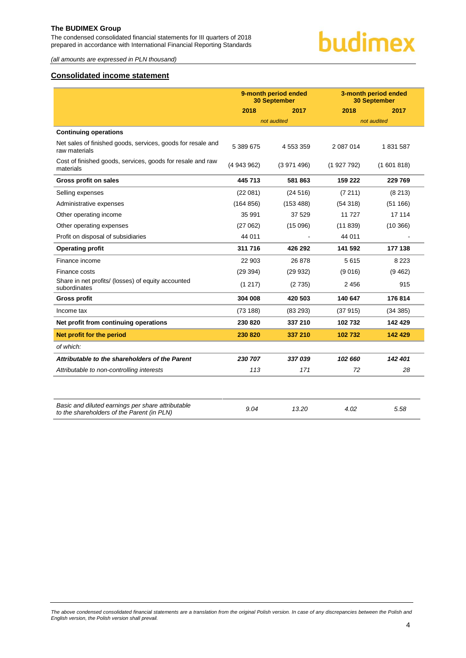The condensed consolidated financial statements for III quarters of 2018 prepared in accordance with International Financial Reporting Standards



*(all amounts are expressed in PLN thousand)*

#### <span id="page-4-0"></span>**Consolidated income statement**

|                                                                              | 9-month period ended<br><b>30 September</b> |               |           | 3-month period ended<br><b>30 September</b> |
|------------------------------------------------------------------------------|---------------------------------------------|---------------|-----------|---------------------------------------------|
|                                                                              | 2018                                        | 2017          | 2018      | 2017                                        |
|                                                                              |                                             | not audited   |           | not audited                                 |
| <b>Continuing operations</b>                                                 |                                             |               |           |                                             |
| Net sales of finished goods, services, goods for resale and<br>raw materials | 5 389 675                                   | 4 5 5 3 3 5 9 | 2 087 014 | 1831587                                     |
| Cost of finished goods, services, goods for resale and raw<br>materials      | (4943962)                                   | (3971496)     | (1927792) | (1601818)                                   |
| Gross profit on sales                                                        | 445 713                                     | 581 863       | 159 222   | 229 769                                     |
| Selling expenses                                                             | (22081)                                     | (24516)       | (7211)    | (8213)                                      |
| Administrative expenses                                                      | (164 856)                                   | (153 488)     | (54318)   | (51166)                                     |
| Other operating income                                                       | 35 991                                      | 37 529        | 11 7 27   | 17 114                                      |
| Other operating expenses                                                     | (27062)                                     | (15096)       | (11839)   | (10366)                                     |
| Profit on disposal of subsidiaries                                           | 44 011                                      |               | 44 011    |                                             |
| <b>Operating profit</b>                                                      | 311 716                                     | 426 292       | 141 592   | 177 138                                     |
| Finance income                                                               | 22 903                                      | 26 878        | 5615      | 8 2 2 3                                     |
| Finance costs                                                                | (29 394)                                    | (29932)       | (9016)    | (9462)                                      |
| Share in net profits/ (losses) of equity accounted<br>subordinates           | (1217)                                      | (2735)        | 2456      | 915                                         |
| <b>Gross profit</b>                                                          | 304 008                                     | 420 503       | 140 647   | 176 814                                     |
| Income tax                                                                   | (73 188)                                    | (83 293)      | (37915)   | (34 385)                                    |
| Net profit from continuing operations                                        | 230 820                                     | 337 210       | 102 732   | 142 429                                     |
| Net profit for the period                                                    | 230 820                                     | 337 210       | 102 732   | 142 429                                     |
| of which:                                                                    |                                             |               |           |                                             |
| Attributable to the shareholders of the Parent                               | 230 707                                     | 337039        | 102 660   | 142 401                                     |
| Attributable to non-controlling interests                                    | 113                                         | 171           | 72        | 28                                          |
|                                                                              |                                             |               |           |                                             |
|                                                                              |                                             |               |           |                                             |

| Basic and diluted earnings per share attributable | 9.04 | 13.20 | 4.02 | 5.58 |
|---------------------------------------------------|------|-------|------|------|
| to the shareholders of the Parent (in PLN)        |      |       |      |      |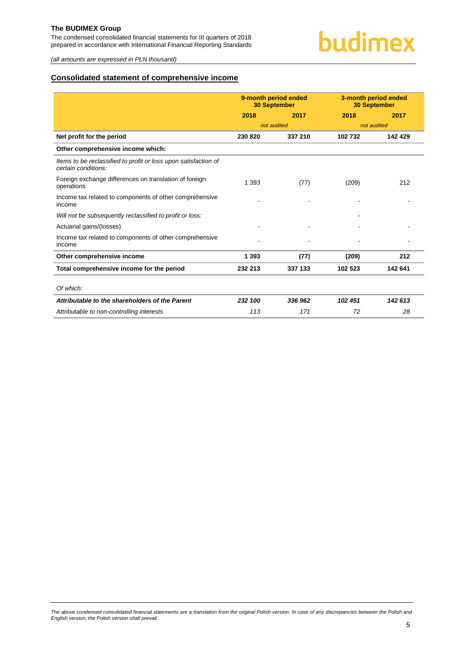The condensed consolidated financial statements for III quarters of 2018 prepared in accordance with International Financial Reporting Standards

*(all amounts are expressed in PLN thousand)*

#### <span id="page-5-0"></span>**Consolidated statement of comprehensive income**

| 2017<br>142429 |
|----------------|
|                |
|                |
|                |
|                |
|                |
| 212            |
|                |
|                |
|                |
|                |
| 212            |
| 142 641        |
|                |
| 142 613        |
| 28             |
|                |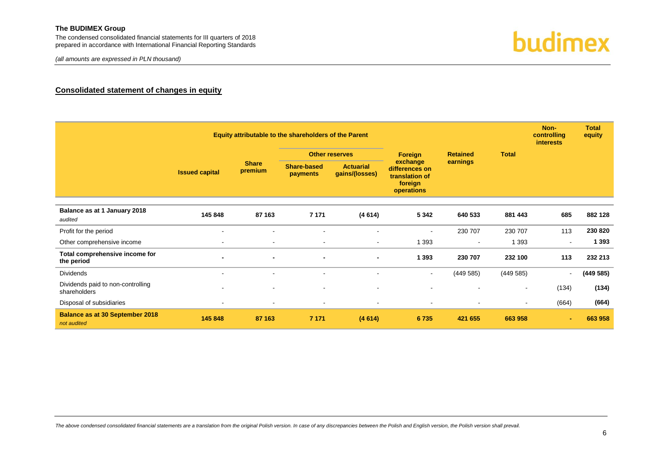*(all amounts are expressed in PLN thousand)*



#### **Consolidated statement of changes in equity**

<span id="page-6-0"></span>

|                                                       | Equity attributable to the shareholders of the Parent |                                                                                                                                                                                      |         |                       |                |                 |                          | Non-<br>controlling<br><b>interests</b> | <b>Total</b><br>equity |
|-------------------------------------------------------|-------------------------------------------------------|--------------------------------------------------------------------------------------------------------------------------------------------------------------------------------------|---------|-----------------------|----------------|-----------------|--------------------------|-----------------------------------------|------------------------|
|                                                       | <b>Issued capital</b>                                 |                                                                                                                                                                                      |         | <b>Other reserves</b> | Foreign        | <b>Retained</b> | <b>Total</b>             |                                         |                        |
|                                                       |                                                       | exchange<br>earnings<br><b>Share</b><br>Share-based<br><b>Actuarial</b><br>differences on<br>premium<br>gains/(losses)<br><b>payments</b><br>translation of<br>foreign<br>operations |         |                       |                |                 |                          |                                         |                        |
| Balance as at 1 January 2018<br>audited               | 145 848                                               | 87 163                                                                                                                                                                               | 7 1 7 1 | (4614)                | 5 3 4 2        | 640 533         | 881 443                  | 685                                     | 882 128                |
| Profit for the period                                 | $\overline{\phantom{a}}$                              |                                                                                                                                                                                      | $\sim$  |                       | $\blacksquare$ | 230 707         | 230 707                  | 113                                     | 230 820                |
| Other comprehensive income                            | $\blacksquare$                                        | $\sim$                                                                                                                                                                               | $\sim$  | $\sim$                | 1 3 9 3        | $\sim$          | 1 3 9 3                  |                                         | 1 3 9 3                |
| Total comprehensive income for<br>the period          | $\blacksquare$                                        |                                                                                                                                                                                      |         |                       | 1 3 9 3        | 230 707         | 232 100                  | 113                                     | 232 213                |
| <b>Dividends</b>                                      |                                                       |                                                                                                                                                                                      |         |                       | $\blacksquare$ | (449585)        | (449585)                 | $\blacksquare$                          | (449585)               |
| Dividends paid to non-controlling<br>shareholders     |                                                       |                                                                                                                                                                                      |         |                       |                |                 | $\overline{\phantom{a}}$ | (134)                                   | (134)                  |
| Disposal of subsidiaries                              | $\blacksquare$                                        |                                                                                                                                                                                      |         |                       | $\blacksquare$ |                 | $\sim$                   | (664)                                   | (664)                  |
| <b>Balance as at 30 September 2018</b><br>not audited | 145 848                                               | 87 163                                                                                                                                                                               | 7 1 7 1 | (4614)                | 6735           | 421 655         | 663 958                  |                                         | 663 958                |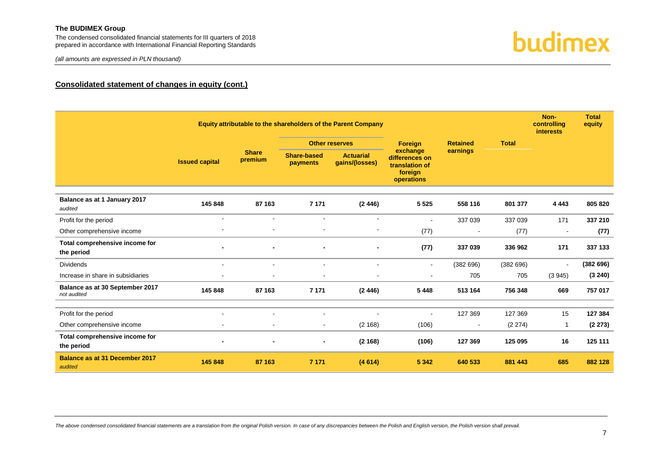The condensed consolidated financial statements for III quarters of 2018 prepared in accordance with International Financial Reporting Standards

*(all amounts are expressed in PLN thousand)*



### **Consolidated statement of changes in equity (cont.)**

|                                                  | Equity attributable to the shareholders of the Parent Company |                         |                                |                                    |                                                                                   |                          |              | Non-<br>controlling<br><b>interests</b> | <b>Total</b><br>equity |
|--------------------------------------------------|---------------------------------------------------------------|-------------------------|--------------------------------|------------------------------------|-----------------------------------------------------------------------------------|--------------------------|--------------|-----------------------------------------|------------------------|
|                                                  |                                                               |                         |                                | <b>Other reserves</b>              | <b>Foreign</b>                                                                    | <b>Retained</b>          | <b>Total</b> |                                         |                        |
|                                                  | <b>Issued capital</b>                                         | <b>Share</b><br>premium | <b>Share-based</b><br>payments | <b>Actuarial</b><br>qains/(losses) | earnings<br>exchange<br>differences on<br>translation of<br>foreign<br>operations |                          |              |                                         |                        |
| Balance as at 1 January 2017<br>audited          | 145 848                                                       | 87 163                  | 7 1 7 1                        | (2446)                             | 5 5 2 5                                                                           | 558 116                  | 801 377      | 4 4 4 3                                 | 805 820                |
| Profit for the period                            | $\blacksquare$                                                | $\sim$                  |                                | $\sim$                             | $\blacksquare$                                                                    | 337 039                  | 337 039      | 171                                     | 337 210                |
| Other comprehensive income                       |                                                               |                         |                                |                                    | (77)                                                                              |                          | (77)         | $\blacksquare$                          | (77)                   |
| Total comprehensive income for<br>the period     |                                                               |                         |                                |                                    | (77)                                                                              | 337 039                  | 336 962      | 171                                     | 337 133                |
| <b>Dividends</b>                                 | $\blacksquare$                                                | $\mathbf{r}$            | $\mathbf{r}$                   | $\sim$                             | $\blacksquare$                                                                    | (382696)                 | (382696)     | $\blacksquare$                          | (382696)               |
| Increase in share in subsidiaries                | $\blacksquare$                                                |                         |                                |                                    | $\blacksquare$                                                                    | 705                      | 705          | (3945)                                  | (3 240)                |
| Balance as at 30 September 2017<br>not audited   | 145 848                                                       | 87 163                  | 7 1 7 1                        | (2446)                             | 5 4 4 8                                                                           | 513 164                  | 756 348      | 669                                     | 757 017                |
|                                                  |                                                               |                         |                                |                                    |                                                                                   |                          |              |                                         |                        |
| Profit for the period                            | $\blacksquare$                                                |                         |                                |                                    | $\overline{a}$                                                                    | 127 369                  | 127 369      | 15                                      | 127 384                |
| Other comprehensive income                       | $\blacksquare$                                                | $\blacksquare$          | $\sim$                         | (2 168)                            | (106)                                                                             | $\overline{\phantom{a}}$ | (2 274)      | -1                                      | (2273)                 |
| Total comprehensive income for<br>the period     |                                                               |                         |                                | (2168)                             | (106)                                                                             | 127 369                  | 125 095      | 16                                      | 125 111                |
| <b>Balance as at 31 December 2017</b><br>audited | 145 848                                                       | 87 163                  | 7 1 7 1                        | (4614)                             | 5 3 4 2                                                                           | 640 533                  | 881 443      | 685                                     | 882 128                |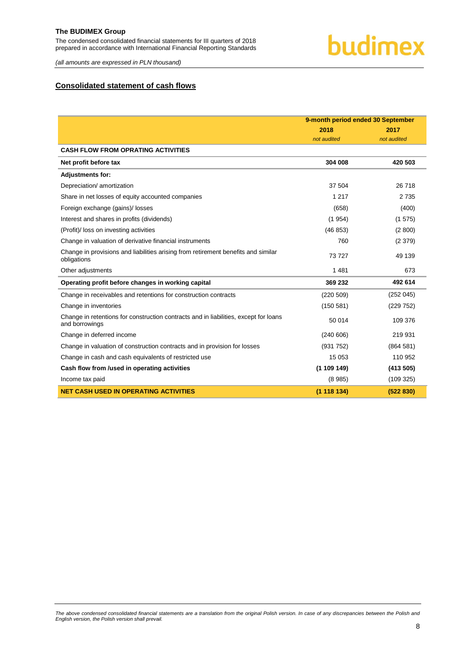# **budimex**

*(all amounts are expressed in PLN thousand)*

#### <span id="page-8-0"></span>**Consolidated statement of cash flows**

|                                                                                                        | 9-month period ended 30 September |             |  |
|--------------------------------------------------------------------------------------------------------|-----------------------------------|-------------|--|
|                                                                                                        | 2018                              | 2017        |  |
|                                                                                                        | not audited                       | not audited |  |
| <b>CASH FLOW FROM OPRATING ACTIVITIES</b>                                                              |                                   |             |  |
| Net profit before tax                                                                                  | 304 008                           | 420 503     |  |
| <b>Adjustments for:</b>                                                                                |                                   |             |  |
| Depreciation/ amortization                                                                             | 37 504                            | 26 718      |  |
| Share in net losses of equity accounted companies                                                      | 1 2 1 7                           | 2 7 3 5     |  |
| Foreign exchange (gains)/ losses                                                                       | (658)                             | (400)       |  |
| Interest and shares in profits (dividends)                                                             | (1954)                            | (1575)      |  |
| (Profit)/ loss on investing activities                                                                 | (46 853)                          | (2800)      |  |
| Change in valuation of derivative financial instruments                                                | 760                               | (2379)      |  |
| Change in provisions and liabilities arising from retirement benefits and similar<br>obligations       | 73727                             | 49 139      |  |
| Other adjustments                                                                                      | 1481                              | 673         |  |
| Operating profit before changes in working capital                                                     | 369 232                           | 492 614     |  |
| Change in receivables and retentions for construction contracts                                        | (220 509)                         | (252045)    |  |
| Change in inventories                                                                                  | (150 581)                         | (229 752)   |  |
| Change in retentions for construction contracts and in liabilities, except for loans<br>and borrowings | 50 014                            | 109 376     |  |
| Change in deferred income                                                                              | (240606)                          | 219 931     |  |
| Change in valuation of construction contracts and in provision for losses                              | (931 752)                         | (864581)    |  |
| Change in cash and cash equivalents of restricted use                                                  | 15 0 53                           | 110 952     |  |
| Cash flow from /used in operating activities                                                           | (1109149)                         | (413 505)   |  |
| Income tax paid                                                                                        | (8985)                            | (109 325)   |  |
| <b>NET CASH USED IN OPERATING ACTIVITIES</b>                                                           | (1118134)                         | (522 830)   |  |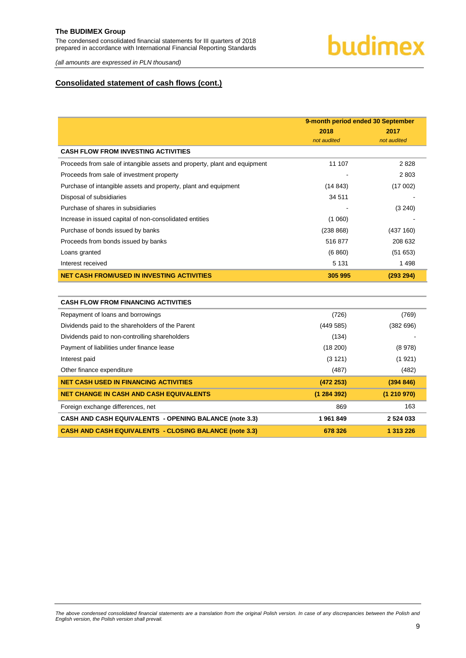# budimex

*(all amounts are expressed in PLN thousand)*

#### **Consolidated statement of cash flows (cont.)**

|                                                                           | 9-month period ended 30 September |             |  |
|---------------------------------------------------------------------------|-----------------------------------|-------------|--|
|                                                                           | 2018                              | 2017        |  |
|                                                                           | not audited                       | not audited |  |
| <b>CASH FLOW FROM INVESTING ACTIVITIES</b>                                |                                   |             |  |
| Proceeds from sale of intangible assets and property, plant and equipment | 11 107                            | 2828        |  |
| Proceeds from sale of investment property                                 |                                   | 2803        |  |
| Purchase of intangible assets and property, plant and equipment           | (14843)                           | (17002)     |  |
| Disposal of subsidiaries                                                  | 34 511                            |             |  |
| Purchase of shares in subsidiaries                                        |                                   | (3 240)     |  |
| Increase in issued capital of non-consolidated entities                   | (1060)                            |             |  |
| Purchase of bonds issued by banks                                         | (238 868)                         | (437 160)   |  |
| Proceeds from bonds issued by banks                                       | 516877                            | 208 632     |  |
| Loans granted                                                             | (6 860)                           | (51653)     |  |
| Interest received                                                         | 5 1 3 1                           | 1 4 9 8     |  |
| <b>NET CASH FROM/USED IN INVESTING ACTIVITIES</b>                         | 305 995                           | (293 294)   |  |
|                                                                           |                                   |             |  |
| <b>CASH FLOW FROM FINANCING ACTIVITIES</b>                                |                                   |             |  |
| Repayment of loans and borrowings                                         | (726)                             | (769)       |  |
| Dividends paid to the shareholders of the Parent                          | (449585)                          | (382696)    |  |
| Dividends paid to non-controlling shareholders                            | (134)                             |             |  |
| Payment of liabilities under finance lease                                | (18 200)                          | (8978)      |  |
| Interest paid                                                             | (3 121)                           | (1921)      |  |
| Other finance expenditure                                                 | (487)                             | (482)       |  |
| <b>NET CASH USED IN FINANCING ACTIVITIES</b>                              | (472 253)                         | (394 846)   |  |
| <b>NET CHANGE IN CASH AND CASH EQUIVALENTS</b>                            | (1284392)                         | (1210970)   |  |
| Foreign exchange differences, net                                         | 869                               | 163         |  |

**CASH AND CASH EQUIVALENTS - OPENING BALANCE (not[e 3.3\)](#page-15-1) 1 961 849 2 524 033 CASH AND CASH EQUIVALENTS - CLOSING BALANCE (note [3.3\)](#page-15-1) 678 326 1 313 226**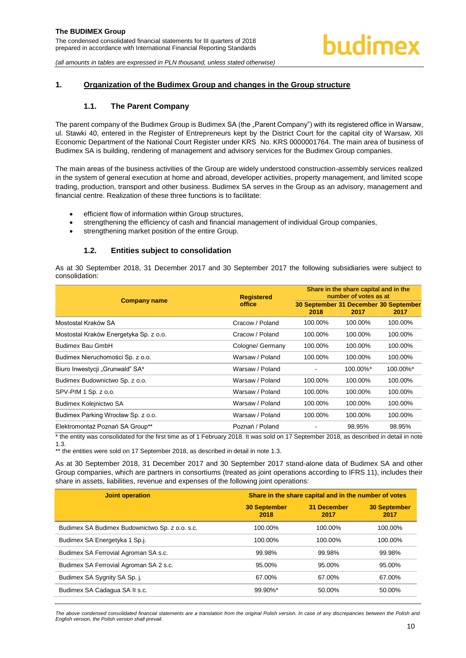#### <span id="page-10-1"></span><span id="page-10-0"></span>**1. Organization of the Budimex Group and changes in the Group structure**

#### **1.1. The Parent Company**

The parent company of the Budimex Group is Budimex SA (the "Parent Company") with its registered office in Warsaw, ul. Stawki 40, entered in the Register of Entrepreneurs kept by the District Court for the capital city of Warsaw, XII Economic Department of the National Court Register under KRS No. KRS 0000001764. The main area of business of Budimex SA is building, rendering of management and advisory services for the Budimex Group companies.

The main areas of the business activities of the Group are widely understood construction-assembly services realized in the system of general execution at home and abroad, developer activities, property management, and limited scope trading, production, transport and other business. Budimex SA serves in the Group as an advisory, management and financial centre. Realization of these three functions is to facilitate:

- efficient flow of information within Group structures,
- strengthening the efficiency of cash and financial management of individual Group companies,
- **•** strengthening market position of the entire Group.

#### **1.2. Entities subject to consolidation**

<span id="page-10-2"></span>As at 30 September 2018, 31 December 2017 and 30 September 2017 the following subsidiaries were subject to consolidation:

|                                                                                                                                                                              | <b>Registered</b> | Share in the share capital and in the<br>number of votes as at |          |                                               |  |
|------------------------------------------------------------------------------------------------------------------------------------------------------------------------------|-------------------|----------------------------------------------------------------|----------|-----------------------------------------------|--|
| <b>Company name</b>                                                                                                                                                          | office            | 2018                                                           | 2017     | 30 September 31 December 30 September<br>2017 |  |
| Mostostal Kraków SA                                                                                                                                                          | Cracow / Poland   | 100.00%                                                        | 100.00%  | 100.00%                                       |  |
| Mostostal Kraków Energetyka Sp. z o.o.                                                                                                                                       | Cracow / Poland   | 100.00%                                                        | 100.00%  | 100.00%                                       |  |
| <b>Budimex Bau GmbH</b>                                                                                                                                                      | Cologne/ Germany  | 100.00%                                                        | 100.00%  | 100.00%                                       |  |
| Budimex Nieruchomości Sp. z o.o.                                                                                                                                             | Warsaw / Poland   | 100.00%                                                        | 100.00%  | 100.00%                                       |  |
| Biuro Inwestycji "Grunwald" SA*                                                                                                                                              | Warsaw / Poland   |                                                                | 100.00%* | 100.00%*                                      |  |
| Budimex Budownictwo Sp. z o.o.                                                                                                                                               | Warsaw / Poland   | 100.00%                                                        | 100.00%  | 100.00%                                       |  |
| SPV-PIM 1 Sp. z o.o.                                                                                                                                                         | Warsaw / Poland   | 100.00%                                                        | 100.00%  | 100.00%                                       |  |
| Budimex Kolejnictwo SA                                                                                                                                                       | Warsaw / Poland   | 100.00%                                                        | 100.00%  | 100.00%                                       |  |
| Budimex Parking Wrocław Sp. z o.o.                                                                                                                                           | Warsaw / Poland   | 100.00%                                                        | 100.00%  | 100.00%                                       |  |
| Elektromontaż Poznań SA Group**<br>* des codesses concellered fonder floridate en ef 4. Echanolo 0040. In acceleiro 47.0 conceleiro 0040, con descallerationista der literat | Poznań / Poland   |                                                                | 98.95%   | 98.95%                                        |  |

the entity was consolidated for the first time as of 1 February 2018. It was sold on 17 September 2018, as described in detail in note 1.3.

\*\* the entities were sold on 17 September 2018, as described in detail in note 1.3.

As at 30 September 2018, 31 December 2017 and 30 September 2017 stand-alone data of Budimex SA and other Group companies, which are partners in consortiums (treated as joint operations according to IFRS 11), includes their share in assets, liabilities, revenue and expenses of the following joint operations:

| <b>Joint operation</b>                         | Share in the share capital and in the number of votes |                            |                             |  |  |
|------------------------------------------------|-------------------------------------------------------|----------------------------|-----------------------------|--|--|
|                                                | <b>30 September</b><br>2018                           | <b>31 December</b><br>2017 | <b>30 September</b><br>2017 |  |  |
| Budimex SA Budimex Budownictwo Sp. z o.o. s.c. | 100.00%                                               | 100.00%                    | 100.00%                     |  |  |
| Budimex SA Energetyka 1 Sp.j.                  | 100.00%                                               | 100.00%                    | 100.00%                     |  |  |
| Budimex SA Ferrovial Agroman SA s.c.           | 99.98%                                                | 99.98%                     | 99.98%                      |  |  |
| Budimex SA Ferrovial Agroman SA 2 s.c.         | 95.00%                                                | 95.00%                     | 95.00%                      |  |  |
| Budimex SA Sygnity SA Sp. j.                   | 67.00%                                                | 67.00%                     | 67.00%                      |  |  |
| Budimex SA Cadagua SA II s.c.                  | $99.90\%$ *                                           | 50.00%                     | 50.00%                      |  |  |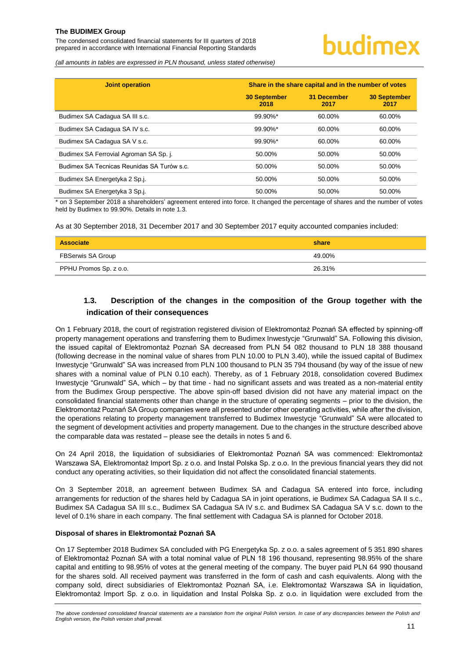The condensed consolidated financial statements for III quarters of 2018 prepared in accordance with International Financial Reporting Standards

*(all amounts in tables are expressed in PLN thousand, unless stated otherwise)*

| <b>Joint operation</b>                     | Share in the share capital and in the number of votes |                            |                             |  |  |  |
|--------------------------------------------|-------------------------------------------------------|----------------------------|-----------------------------|--|--|--|
|                                            | <b>30 September</b><br>2018                           | <b>31 December</b><br>2017 | <b>30 September</b><br>2017 |  |  |  |
| Budimex SA Cadagua SA III s.c.             | 99.90%*                                               | 60.00%                     | 60.00%                      |  |  |  |
| Budimex SA Cadagua SA IV s.c.              | 99.90%*                                               | 60.00%                     | 60.00%                      |  |  |  |
| Budimex SA Cadagua SA V s.c.               | 99.90%*                                               | 60.00%                     | 60.00%                      |  |  |  |
| Budimex SA Ferrovial Agroman SA Sp. j.     | 50.00%                                                | 50.00%                     | 50.00%                      |  |  |  |
| Budimex SA Tecnicas Reunidas SA Turów s.c. | 50.00%                                                | 50.00%                     | 50.00%                      |  |  |  |
| Budimex SA Energetyka 2 Sp.j.              | 50.00%                                                | 50.00%                     | 50.00%                      |  |  |  |
| Budimex SA Energetyka 3 Sp.j.              | 50.00%                                                | 50.00%                     | 50.00%                      |  |  |  |

\* on 3 September 2018 a shareholders' agreement entered into force. It changed the percentage of shares and the number of votes held by Budimex to 99.90%. Details in note 1.3.

As at 30 September 2018, 31 December 2017 and 30 September 2017 equity accounted companies included:

| <b>Associate</b>       | share  |
|------------------------|--------|
| FBSerwis SA Group      | 49.00% |
| PPHU Promos Sp. z o.o. | 26.31% |

# <span id="page-11-0"></span>**1.3. Description of the changes in the composition of the Group together with the indication of their consequences**

On 1 February 2018, the court of registration registered division of Elektromontaż Poznań SA effected by spinning-off property management operations and transferring them to Budimex Inwestycje "Grunwald" SA. Following this division, the issued capital of Elektromontaż Poznań SA decreased from PLN 54 082 thousand to PLN 18 388 thousand (following decrease in the nominal value of shares from PLN 10.00 to PLN 3.40), while the issued capital of Budimex Inwestycje "Grunwald" SA was increased from PLN 100 thousand to PLN 35 794 thousand (by way of the issue of new shares with a nominal value of PLN 0.10 each). Thereby, as of 1 February 2018, consolidation covered Budimex Inwestycje "Grunwald" SA, which – by that time - had no significant assets and was treated as a non-material entity from the Budimex Group perspective. The above spin-off based division did not have any material impact on the consolidated financial statements other than change in the structure of operating segments – prior to the division, the Elektromontaż Poznań SA Group companies were all presented under other operating activities, while after the division, the operations relating to property management transferred to Budimex Inwestycje "Grunwald" SA were allocated to the segment of development activities and property management. Due to the changes in the structure described above the comparable data was restated – please see the details in notes 5 and 6.

On 24 April 2018, the liquidation of subsidiaries of Elektromontaż Poznań SA was commenced: Elektromontaż Warszawa SA, Elektromontaż Import Sp. z o.o. and Instal Polska Sp. z o.o. In the previous financial years they did not conduct any operating activities, so their liquidation did not affect the consolidated financial statements.

On 3 September 2018, an agreement between Budimex SA and Cadagua SA entered into force, including arrangements for reduction of the shares held by Cadagua SA in joint operations, ie Budimex SA Cadagua SA II s.c., Budimex SA Cadagua SA III s.c., Budimex SA Cadagua SA IV s.c. and Budimex SA Cadagua SA V s.c. down to the level of 0.1% share in each company. The final settlement with Cadagua SA is planned for October 2018.

#### **Disposal of shares in Elektromontaż Poznań SA**

On 17 September 2018 Budimex SA concluded with PG Energetyka Sp. z o.o. a sales agreement of 5 351 890 shares of Elektromontaż Poznań SA with a total nominal value of PLN 18 196 thousand, representing 98.95% of the share capital and entitling to 98.95% of votes at the general meeting of the company. The buyer paid PLN 64 990 thousand for the shares sold. All received payment was transferred in the form of cash and cash equivalents. Along with the company sold, direct subsidiaries of Elektromontaż Poznań SA, i.e. Elektromontaż Warszawa SA in liquidation, Elektromontaż Import Sp. z o.o. in liquidation and Instal Polska Sp. z o.o. in liquidation were excluded from the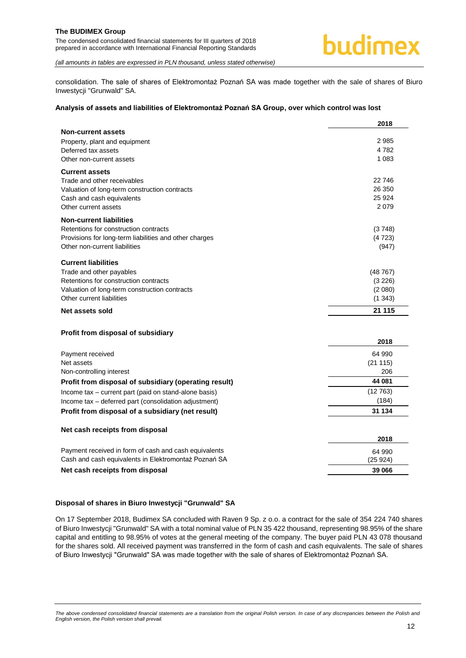The condensed consolidated financial statements for III quarters of 2018 prepared in accordance with International Financial Reporting Standards



*(all amounts in tables are expressed in PLN thousand, unless stated otherwise)*

consolidation. The sale of shares of Elektromontaż Poznań SA was made together with the sale of shares of Biuro Inwestycji "Grunwald" SA.

#### **Analysis of assets and liabilities of Elektromontaż Poznań SA Group, over which control was lost**

|                                                                                                                | 2018           |
|----------------------------------------------------------------------------------------------------------------|----------------|
| <b>Non-current assets</b>                                                                                      |                |
| Property, plant and equipment                                                                                  | 2985           |
| Deferred tax assets                                                                                            | 4782           |
| Other non-current assets                                                                                       | 1 0 8 3        |
| <b>Current assets</b>                                                                                          |                |
| Trade and other receivables                                                                                    | 22746          |
| Valuation of long-term construction contracts                                                                  | 26 350         |
| Cash and cash equivalents                                                                                      | 25 9 24        |
| Other current assets                                                                                           | 2079           |
| <b>Non-current liabilities</b>                                                                                 |                |
| Retentions for construction contracts                                                                          | (3748)         |
| Provisions for long-term liabilities and other charges                                                         | (4723)         |
| Other non-current liabilities                                                                                  | (947)          |
| <b>Current liabilities</b>                                                                                     |                |
| Trade and other payables                                                                                       | (48767)        |
| Retentions for construction contracts                                                                          | (3 226)        |
| Valuation of long-term construction contracts                                                                  | (2 080)        |
| Other current liabilities                                                                                      | (1343)         |
| Net assets sold                                                                                                | 21 115         |
|                                                                                                                |                |
|                                                                                                                |                |
| Profit from disposal of subsidiary                                                                             | 2018           |
|                                                                                                                |                |
| Payment received                                                                                               | 64 990         |
| Net assets<br>Non-controlling interest                                                                         | (21115)<br>206 |
|                                                                                                                | 44 081         |
| Profit from disposal of subsidiary (operating result)                                                          | (12763)        |
| Income tax - current part (paid on stand-alone basis)<br>Income tax - deferred part (consolidation adjustment) | (184)          |
| Profit from disposal of a subsidiary (net result)                                                              | 31 134         |
|                                                                                                                |                |
| Net cash receipts from disposal                                                                                |                |
|                                                                                                                | 2018           |
| Payment received in form of cash and cash equivalents                                                          | 64 990         |
| Cash and cash equivalents in Elektromontaż Poznań SA                                                           | (25924)        |
| Net cash receipts from disposal                                                                                | 39 066         |
|                                                                                                                |                |

#### **Disposal of shares in Biuro Inwestycji "Grunwald" SA**

On 17 September 2018, Budimex SA concluded with Raven 9 Sp. z o.o. a contract for the sale of 354 224 740 shares of Biuro Inwestycji "Grunwald" SA with a total nominal value of PLN 35 422 thousand, representing 98.95% of the share capital and entitling to 98.95% of votes at the general meeting of the company. The buyer paid PLN 43 078 thousand for the shares sold. All received payment was transferred in the form of cash and cash equivalents. The sale of shares of Biuro Inwestycji "Grunwald" SA was made together with the sale of shares of Elektromontaż Poznań SA.

The above condensed consolidated financial statements are a translation from the original Polish version. In case of any discrepancies between the Polish and *English version, the Polish version shall prevail.*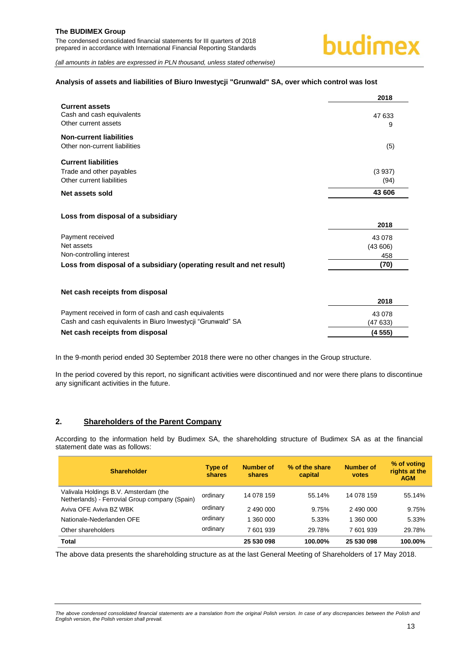#### **Analysis of assets and liabilities of Biuro Inwestycji "Grunwald" SA, over which control was lost**

|                                                                      | 2018    |
|----------------------------------------------------------------------|---------|
| <b>Current assets</b>                                                |         |
| Cash and cash equivalents                                            | 47 633  |
| Other current assets                                                 | 9       |
| <b>Non-current liabilities</b>                                       |         |
| Other non-current liabilities                                        | (5)     |
| <b>Current liabilities</b>                                           |         |
| Trade and other payables                                             | (3937)  |
| Other current liabilities                                            | (94)    |
| Net assets sold                                                      | 43 606  |
|                                                                      |         |
| Loss from disposal of a subsidiary                                   |         |
|                                                                      | 2018    |
| Payment received                                                     | 43 078  |
| Net assets                                                           | (43606) |
| Non-controlling interest                                             | 458     |
| Loss from disposal of a subsidiary (operating result and net result) | (70)    |
|                                                                      |         |
| Net cash receipts from disposal                                      | 2018    |
| Payment received in form of cash and cash equivalents                | 43 078  |
| Cash and cash equivalents in Biuro Inwestycji "Grunwald" SA          | (47633) |
| Net cash receipts from disposal                                      | (4555)  |

In the 9-month period ended 30 September 2018 there were no other changes in the Group structure.

In the period covered by this report, no significant activities were discontinued and nor were there plans to discontinue any significant activities in the future.

#### <span id="page-13-0"></span>**2. Shareholders of the Parent Company**

According to the information held by Budimex SA, the shareholding structure of Budimex SA as at the financial statement date was as follows:

| <b>Shareholder</b>                                                                      | <b>Type of</b><br>shares | Number of<br>shares | % of the share<br>capital | <b>Number of</b><br><b>votes</b> | % of voting<br>rights at the<br><b>AGM</b> |
|-----------------------------------------------------------------------------------------|--------------------------|---------------------|---------------------------|----------------------------------|--------------------------------------------|
| Valivala Holdings B.V. Amsterdam (the<br>Netherlands) - Ferrovial Group company (Spain) | ordinary                 | 14 078 159          | 55.14%                    | 14 078 159                       | 55.14%                                     |
| Aviva OFE Aviva BZ WBK                                                                  | ordinary                 | 2 490 000           | 9.75%                     | 2 490 000                        | 9.75%                                      |
| Nationale-Nederlanden OFE                                                               | ordinary                 | 1 360 000           | 5.33%                     | 1 360 000                        | 5.33%                                      |
| Other shareholders                                                                      | ordinary                 | 7 601 939           | 29.78%                    | 7 601 939                        | 29.78%                                     |
| Total                                                                                   |                          | 25 530 098          | 100.00%                   | 25 530 098                       | 100.00%                                    |

The above data presents the shareholding structure as at the last General Meeting of Shareholders of 17 May 2018.

*The above condensed consolidated financial statements are a translation from the original Polish version. In case of any discrepancies between the Polish and English version, the Polish version shall prevail.*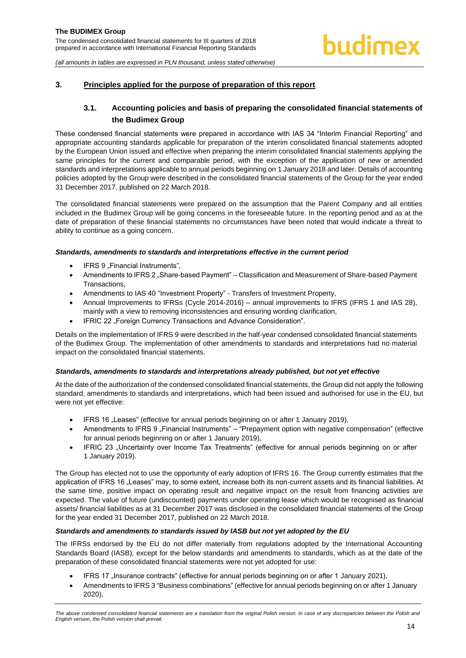#### <span id="page-14-1"></span><span id="page-14-0"></span>**3. Principles applied for the purpose of preparation of this report**

# **3.1. Accounting policies and basis of preparing the consolidated financial statements of the Budimex Group**

These condensed financial statements were prepared in accordance with IAS 34 "Interim Financial Reporting" and appropriate accounting standards applicable for preparation of the interim consolidated financial statements adopted by the European Union issued and effective when preparing the interim consolidated financial statements applying the same principles for the current and comparable period, with the exception of the application of new or amended standards and interpretations applicable to annual periods beginning on 1 January 2018 and later. Details of accounting policies adopted by the Group were described in the consolidated financial statements of the Group for the year ended 31 December 2017, published on 22 March 2018.

The consolidated financial statements were prepared on the assumption that the Parent Company and all entities included in the Budimex Group will be going concerns in the foreseeable future. In the reporting period and as at the date of preparation of these financial statements no circumstances have been noted that would indicate a threat to ability to continue as a going concern.

#### *Standards, amendments to standards and interpretations effective in the current period*

- IFRS 9 "Financial Instruments",
- Amendments to IFRS 2 "Share-based Payment" Classification and Measurement of Share-based Payment Transactions,
- Amendments to IAS 40 "Investment Property" Transfers of Investment Property,
- Annual Improvements to IFRSs (Cycle 2014-2016) annual improvements to IFRS (IFRS 1 and IAS 28), mainly with a view to removing inconsistencies and ensuring wording clarification,
- IFRIC 22 "Foreign Currency Transactions and Advance Consideration".

Details on the implementation of IFRS 9 were described in the half-year condensed consolidated financial statements of the Budimex Group. The implementation of other amendments to standards and interpretations had no material impact on the consolidated financial statements.

#### *Standards, amendments to standards and interpretations already published, but not yet effective*

At the date of the authorization of the condensed consolidated financial statements, the Group did not apply the following standard, amendments to standards and interpretations, which had been issued and authorised for use in the EU, but were not yet effective:

- IFRS 16 "Leases" (effective for annual periods beginning on or after 1 January 2019),
- Amendments to IFRS 9 "Financial Instruments" "Prepayment option with negative compensation" (effective for annual periods beginning on or after 1 January 2019),
- IFRIC 23 "Uncertainty over Income Tax Treatments" (effective for annual periods beginning on or after 1 January 2019).

The Group has elected not to use the opportunity of early adoption of IFRS 16. The Group currently estimates that the application of IFRS 16 "Leases" may, to some extent, increase both its non-current assets and its financial liabilities. At the same time, positive impact on operating result and negative impact on the result from financing activities are expected. The value of future (undiscounted) payments under operating lease which would be recognised as financial assets/ financial liabilities as at 31 December 2017 was disclosed in the consolidated financial statements of the Group for the year ended 31 December 2017, published on 22 March 2018.

#### *Standards and amendments to standards issued by IASB but not yet adopted by the EU*

The IFRSs endorsed by the EU do not differ materially from regulations adopted by the International Accounting Standards Board (IASB), except for the below standards and amendments to standards, which as at the date of the preparation of these consolidated financial statements were not yet adopted for use:

- IFRS 17 "Insurance contracts" (effective for annual periods beginning on or after 1 January 2021),
- Amendments to IFRS 3 "Business combinations" (effective for annual periods beginning on or after 1 January 2020),

The above condensed consolidated financial statements are a translation from the original Polish version. In case of any discrepancies between the Polish and *English version, the Polish version shall prevail.*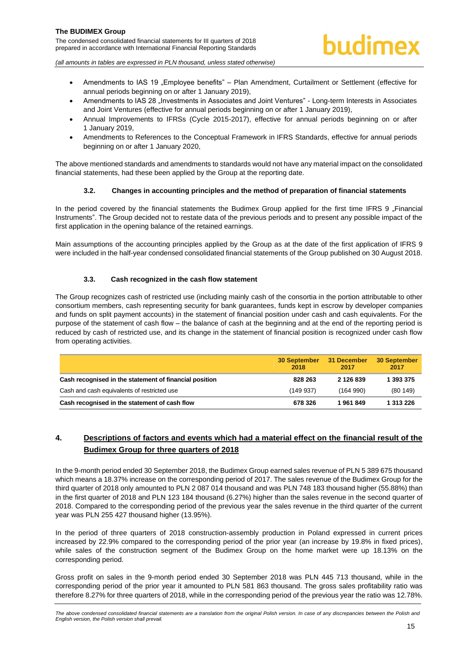

- Amendments to IAS 19 "Employee benefits" Plan Amendment, Curtailment or Settlement (effective for annual periods beginning on or after 1 January 2019),
- Amendments to IAS 28 . Investments in Associates and Joint Ventures" Long-term Interests in Associates and Joint Ventures (effective for annual periods beginning on or after 1 January 2019),
- Annual Improvements to IFRSs (Cycle 2015-2017), effective for annual periods beginning on or after 1 January 2019,
- Amendments to References to the Conceptual Framework in IFRS Standards, effective for annual periods beginning on or after 1 January 2020,

The above mentioned standards and amendments to standards would not have any material impact on the consolidated financial statements, had these been applied by the Group at the reporting date.

#### **3.2. Changes in accounting principles and the method of preparation of financial statements**

<span id="page-15-0"></span>In the period covered by the financial statements the Budimex Group applied for the first time IFRS 9 "Financial Instruments". The Group decided not to restate data of the previous periods and to present any possible impact of the first application in the opening balance of the retained earnings.

Main assumptions of the accounting principles applied by the Group as at the date of the first application of IFRS 9 were included in the half-year condensed consolidated financial statements of the Group published on 30 August 2018.

#### **3.3. Cash recognized in the cash flow statement**

<span id="page-15-1"></span>The Group recognizes cash of restricted use (including mainly cash of the consortia in the portion attributable to other consortium members, cash representing security for bank guarantees, funds kept in escrow by developer companies and funds on split payment accounts) in the statement of financial position under cash and cash equivalents. For the purpose of the statement of cash flow – the balance of cash at the beginning and at the end of the reporting period is reduced by cash of restricted use, and its change in the statement of financial position is recognized under cash flow from operating activities.

|                                                        | <b>30 September</b><br>2018 | 31 December<br>2017 | 30 September<br>2017 |
|--------------------------------------------------------|-----------------------------|---------------------|----------------------|
| Cash recognised in the statement of financial position | 828 263                     | 2 126 839           | 1 393 375            |
| Cash and cash equivalents of restricted use            | (149937)                    | (164 990)           | (80149)              |
| Cash recognised in the statement of cash flow          | 678 326                     | 1961849             | 1 313 226            |

# <span id="page-15-2"></span>**4. Descriptions of factors and events which had a material effect on the financial result of the Budimex Group for three quarters of 2018**

In the 9-month period ended 30 September 2018, the Budimex Group earned sales revenue of PLN 5 389 675 thousand which means a 18.37% increase on the corresponding period of 2017. The sales revenue of the Budimex Group for the third quarter of 2018 only amounted to PLN 2 087 014 thousand and was PLN 748 183 thousand higher (55.88%) than in the first quarter of 2018 and PLN 123 184 thousand (6.27%) higher than the sales revenue in the second quarter of 2018. Compared to the corresponding period of the previous year the sales revenue in the third quarter of the current year was PLN 255 427 thousand higher (13.95%).

In the period of three quarters of 2018 construction-assembly production in Poland expressed in current prices increased by 22.9% compared to the corresponding period of the prior year (an increase by 19.8% in fixed prices), while sales of the construction segment of the Budimex Group on the home market were up 18.13% on the corresponding period.

Gross profit on sales in the 9-month period ended 30 September 2018 was PLN 445 713 thousand, while in the corresponding period of the prior year it amounted to PLN 581 863 thousand. The gross sales profitability ratio was therefore 8.27% for three quarters of 2018, while in the corresponding period of the previous year the ratio was 12.78%.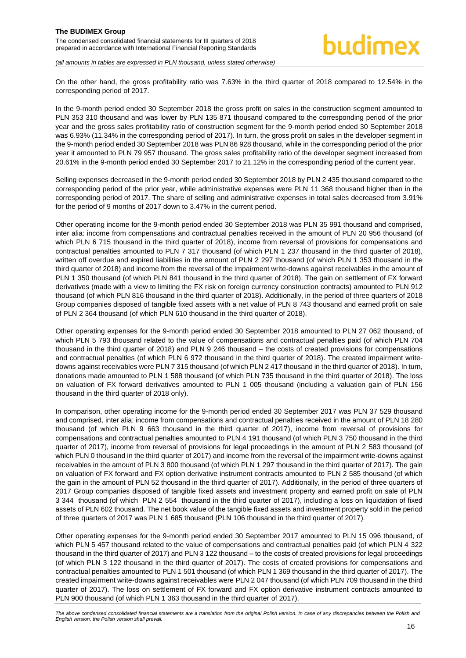#### **The BUDIMEX Group**  The condensed consolidated financial statements for III quarters of 2018

prepared in accordance with International Financial Reporting Standards

*(all amounts in tables are expressed in PLN thousand, unless stated otherwise)*

On the other hand, the gross profitability ratio was 7.63% in the third quarter of 2018 compared to 12.54% in the corresponding period of 2017.

In the 9-month period ended 30 September 2018 the gross profit on sales in the construction segment amounted to PLN 353 310 thousand and was lower by PLN 135 871 thousand compared to the corresponding period of the prior year and the gross sales profitability ratio of construction segment for the 9-month period ended 30 September 2018 was 6.93% (11.34% in the corresponding period of 2017). In turn, the gross profit on sales in the developer segment in the 9-month period ended 30 September 2018 was PLN 86 928 thousand, while in the corresponding period of the prior year it amounted to PLN 79 957 thousand. The gross sales profitability ratio of the developer segment increased from 20.61% in the 9-month period ended 30 September 2017 to 21.12% in the corresponding period of the current year.

Selling expenses decreased in the 9-month period ended 30 September 2018 by PLN 2 435 thousand compared to the corresponding period of the prior year, while administrative expenses were PLN 11 368 thousand higher than in the corresponding period of 2017. The share of selling and administrative expenses in total sales decreased from 3.91% for the period of 9 months of 2017 down to 3.47% in the current period.

Other operating income for the 9-month period ended 30 September 2018 was PLN 35 991 thousand and comprised, inter alia: income from compensations and contractual penalties received in the amount of PLN 20 956 thousand (of which PLN 6 715 thousand in the third quarter of 2018), income from reversal of provisions for compensations and contractual penalties amounted to PLN 7 317 thousand (of which PLN 1 237 thousand in the third quarter of 2018), written off overdue and expired liabilities in the amount of PLN 2 297 thousand (of which PLN 1 353 thousand in the third quarter of 2018) and income from the reversal of the impairment write-downs against receivables in the amount of PLN 1 350 thousand (of which PLN 841 thousand in the third quarter of 2018). The gain on settlement of FX forward derivatives (made with a view to limiting the FX risk on foreign currency construction contracts) amounted to PLN 912 thousand (of which PLN 816 thousand in the third quarter of 2018). Additionally, in the period of three quarters of 2018 Group companies disposed of tangible fixed assets with a net value of PLN 8 743 thousand and earned profit on sale of PLN 2 364 thousand (of which PLN 610 thousand in the third quarter of 2018).

Other operating expenses for the 9-month period ended 30 September 2018 amounted to PLN 27 062 thousand, of which PLN 5 793 thousand related to the value of compensations and contractual penalties paid (of which PLN 704 thousand in the third quarter of 2018) and PLN 9 246 thousand – the costs of created provisions for compensations and contractual penalties (of which PLN 6 972 thousand in the third quarter of 2018). The created impairment writedowns against receivables were PLN 7 315 thousand (of which PLN 2 417 thousand in the third quarter of 2018). In turn, donations made amounted to PLN 1 588 thousand (of which PLN 735 thousand in the third quarter of 2018). The loss on valuation of FX forward derivatives amounted to PLN 1 005 thousand (including a valuation gain of PLN 156 thousand in the third quarter of 2018 only).

In comparison, other operating income for the 9-month period ended 30 September 2017 was PLN 37 529 thousand and comprised, inter alia: income from compensations and contractual penalties received in the amount of PLN 18 280 thousand (of which PLN 9 663 thousand in the third quarter of 2017), income from reversal of provisions for compensations and contractual penalties amounted to PLN 4 191 thousand (of which PLN 3 750 thousand in the third quarter of 2017), income from reversal of provisions for legal proceedings in the amount of PLN 2 583 thousand (of which PLN 0 thousand in the third quarter of 2017) and income from the reversal of the impairment write-downs against receivables in the amount of PLN 3 800 thousand (of which PLN 1 297 thousand in the third quarter of 2017). The gain on valuation of FX forward and FX option derivative instrument contracts amounted to PLN 2 585 thousand (of which the gain in the amount of PLN 52 thousand in the third quarter of 2017). Additionally, in the period of three quarters of 2017 Group companies disposed of tangible fixed assets and investment property and earned profit on sale of PLN 3 344 thousand (of which PLN 2 554 thousand in the third quarter of 2017), including a loss on liquidation of fixed assets of PLN 602 thousand. The net book value of the tangible fixed assets and investment property sold in the period of three quarters of 2017 was PLN 1 685 thousand (PLN 106 thousand in the third quarter of 2017).

Other operating expenses for the 9-month period ended 30 September 2017 amounted to PLN 15 096 thousand, of which PLN 5 457 thousand related to the value of compensations and contractual penalties paid (of which PLN 4 322 thousand in the third quarter of 2017) and PLN 3 122 thousand – to the costs of created provisions for legal proceedings (of which PLN 3 122 thousand in the third quarter of 2017). The costs of created provisions for compensations and contractual penalties amounted to PLN 1 501 thousand (of which PLN 1 369 thousand in the third quarter of 2017). The created impairment write-downs against receivables were PLN 2 047 thousand (of which PLN 709 thousand in the third quarter of 2017). The loss on settlement of FX forward and FX option derivative instrument contracts amounted to PLN 900 thousand (of which PLN 1 363 thousand in the third quarter of 2017).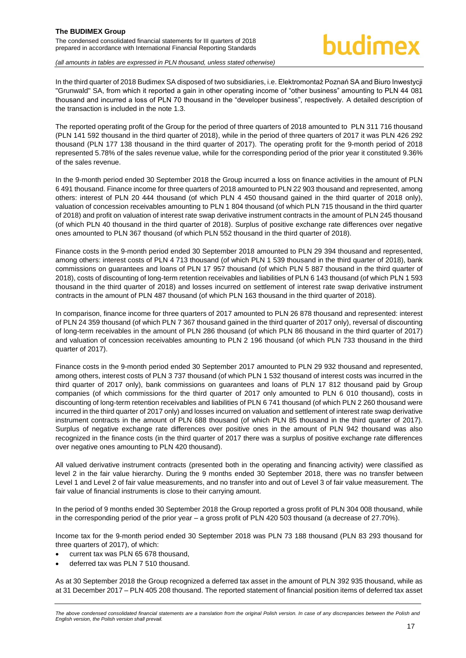# budimex

*(all amounts in tables are expressed in PLN thousand, unless stated otherwise)*

In the third quarter of 2018 Budimex SA disposed of two subsidiaries, i.e. Elektromontaż Poznań SA and Biuro Inwestycji "Grunwald" SA, from which it reported a gain in other operating income of "other business" amounting to PLN 44 081 thousand and incurred a loss of PLN 70 thousand in the "developer business", respectively. A detailed description of the transaction is included in the note 1.3.

The reported operating profit of the Group for the period of three quarters of 2018 amounted to PLN 311 716 thousand (PLN 141 592 thousand in the third quarter of 2018), while in the period of three quarters of 2017 it was PLN 426 292 thousand (PLN 177 138 thousand in the third quarter of 2017). The operating profit for the 9-month period of 2018 represented 5.78% of the sales revenue value, while for the corresponding period of the prior year it constituted 9.36% of the sales revenue.

In the 9-month period ended 30 September 2018 the Group incurred a loss on finance activities in the amount of PLN 6 491 thousand. Finance income for three quarters of 2018 amounted to PLN 22 903 thousand and represented, among others: interest of PLN 20 444 thousand (of which PLN 4 450 thousand gained in the third quarter of 2018 only), valuation of concession receivables amounting to PLN 1 804 thousand (of which PLN 715 thousand in the third quarter of 2018) and profit on valuation of interest rate swap derivative instrument contracts in the amount of PLN 245 thousand (of which PLN 40 thousand in the third quarter of 2018). Surplus of positive exchange rate differences over negative ones amounted to PLN 367 thousand (of which PLN 552 thousand in the third quarter of 2018).

Finance costs in the 9-month period ended 30 September 2018 amounted to PLN 29 394 thousand and represented, among others: interest costs of PLN 4 713 thousand (of which PLN 1 539 thousand in the third quarter of 2018), bank commissions on guarantees and loans of PLN 17 957 thousand (of which PLN 5 887 thousand in the third quarter of 2018), costs of discounting of long-term retention receivables and liabilities of PLN 6 143 thousand (of which PLN 1 593 thousand in the third quarter of 2018) and losses incurred on settlement of interest rate swap derivative instrument contracts in the amount of PLN 487 thousand (of which PLN 163 thousand in the third quarter of 2018).

In comparison, finance income for three quarters of 2017 amounted to PLN 26 878 thousand and represented: interest of PLN 24 359 thousand (of which PLN 7 367 thousand gained in the third quarter of 2017 only), reversal of discounting of long-term receivables in the amount of PLN 286 thousand (of which PLN 86 thousand in the third quarter of 2017) and valuation of concession receivables amounting to PLN 2 196 thousand (of which PLN 733 thousand in the third quarter of 2017).

Finance costs in the 9-month period ended 30 September 2017 amounted to PLN 29 932 thousand and represented, among others, interest costs of PLN 3 737 thousand (of which PLN 1 532 thousand of interest costs was incurred in the third quarter of 2017 only), bank commissions on guarantees and loans of PLN 17 812 thousand paid by Group companies (of which commissions for the third quarter of 2017 only amounted to PLN 6 010 thousand), costs in discounting of long-term retention receivables and liabilities of PLN 6 741 thousand (of which PLN 2 260 thousand were incurred in the third quarter of 2017 only) and losses incurred on valuation and settlement of interest rate swap derivative instrument contracts in the amount of PLN 688 thousand (of which PLN 85 thousand in the third quarter of 2017). Surplus of negative exchange rate differences over positive ones in the amount of PLN 942 thousand was also recognized in the finance costs (in the third quarter of 2017 there was a surplus of positive exchange rate differences over negative ones amounting to PLN 420 thousand).

All valued derivative instrument contracts (presented both in the operating and financing activity) were classified as level 2 in the fair value hierarchy. During the 9 months ended 30 September 2018, there was no transfer between Level 1 and Level 2 of fair value measurements, and no transfer into and out of Level 3 of fair value measurement. The fair value of financial instruments is close to their carrying amount.

In the period of 9 months ended 30 September 2018 the Group reported a gross profit of PLN 304 008 thousand, while in the corresponding period of the prior year – a gross profit of PLN 420 503 thousand (a decrease of 27.70%).

Income tax for the 9-month period ended 30 September 2018 was PLN 73 188 thousand (PLN 83 293 thousand for three quarters of 2017), of which:

- current tax was PLN 65 678 thousand,
- deferred tax was PLN 7 510 thousand.

As at 30 September 2018 the Group recognized a deferred tax asset in the amount of PLN 392 935 thousand, while as at 31 December 2017 – PLN 405 208 thousand. The reported statement of financial position items of deferred tax asset

*The above condensed consolidated financial statements are a translation from the original Polish version. In case of any discrepancies between the Polish and English version, the Polish version shall prevail.*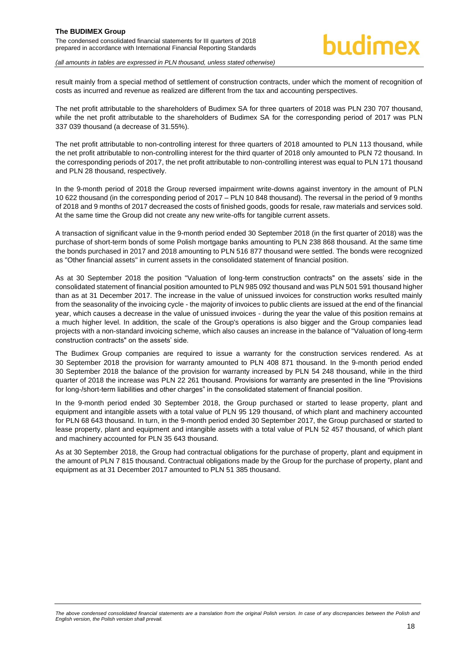result mainly from a special method of settlement of construction contracts, under which the moment of recognition of costs as incurred and revenue as realized are different from the tax and accounting perspectives.

The net profit attributable to the shareholders of Budimex SA for three quarters of 2018 was PLN 230 707 thousand, while the net profit attributable to the shareholders of Budimex SA for the corresponding period of 2017 was PLN 337 039 thousand (a decrease of 31.55%).

The net profit attributable to non-controlling interest for three quarters of 2018 amounted to PLN 113 thousand, while the net profit attributable to non-controlling interest for the third quarter of 2018 only amounted to PLN 72 thousand. In the corresponding periods of 2017, the net profit attributable to non-controlling interest was equal to PLN 171 thousand and PLN 28 thousand, respectively.

In the 9-month period of 2018 the Group reversed impairment write-downs against inventory in the amount of PLN 10 622 thousand (in the corresponding period of 2017 – PLN 10 848 thousand). The reversal in the period of 9 months of 2018 and 9 months of 2017 decreased the costs of finished goods, goods for resale, raw materials and services sold. At the same time the Group did not create any new write-offs for tangible current assets.

A transaction of significant value in the 9-month period ended 30 September 2018 (in the first quarter of 2018) was the purchase of short-term bonds of some Polish mortgage banks amounting to PLN 238 868 thousand. At the same time the bonds purchased in 2017 and 2018 amounting to PLN 516 877 thousand were settled. The bonds were recognized as "Other financial assets" in current assets in the consolidated statement of financial position.

As at 30 September 2018 the position "Valuation of long-term construction contracts" on the assets' side in the consolidated statement of financial position amounted to PLN 985 092 thousand and was PLN 501 591 thousand higher than as at 31 December 2017. The increase in the value of unissued invoices for construction works resulted mainly from the seasonality of the invoicing cycle - the majority of invoices to public clients are issued at the end of the financial year, which causes a decrease in the value of unissued invoices - during the year the value of this position remains at a much higher level. In addition, the scale of the Group's operations is also bigger and the Group companies lead projects with a non-standard invoicing scheme, which also causes an increase in the balance of "Valuation of long-term construction contracts" on the assets' side.

The Budimex Group companies are required to issue a warranty for the construction services rendered. As at 30 September 2018 the provision for warranty amounted to PLN 408 871 thousand. In the 9-month period ended 30 September 2018 the balance of the provision for warranty increased by PLN 54 248 thousand, while in the third quarter of 2018 the increase was PLN 22 261 thousand. Provisions for warranty are presented in the line "Provisions for long-/short-term liabilities and other charges" in the consolidated statement of financial position.

In the 9-month period ended 30 September 2018, the Group purchased or started to lease property, plant and equipment and intangible assets with a total value of PLN 95 129 thousand, of which plant and machinery accounted for PLN 68 643 thousand. In turn, in the 9-month period ended 30 September 2017, the Group purchased or started to lease property, plant and equipment and intangible assets with a total value of PLN 52 457 thousand, of which plant and machinery accounted for PLN 35 643 thousand.

As at 30 September 2018, the Group had contractual obligations for the purchase of property, plant and equipment in the amount of PLN 7 815 thousand. Contractual obligations made by the Group for the purchase of property, plant and equipment as at 31 December 2017 amounted to PLN 51 385 thousand.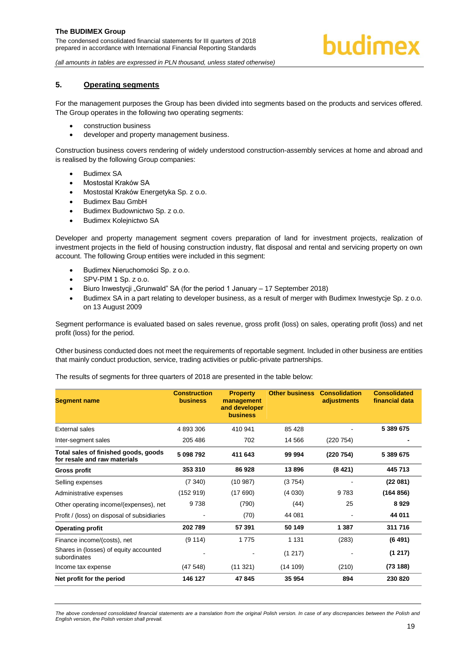*(all amounts in tables are expressed in PLN thousand, unless stated otherwise)*

### <span id="page-19-0"></span>**5. Operating segments**

For the management purposes the Group has been divided into segments based on the products and services offered. The Group operates in the following two operating segments:

- construction business
- developer and property management business.

Construction business covers rendering of widely understood construction-assembly services at home and abroad and is realised by the following Group companies:

- Budimex SA
- Mostostal Kraków SA
- Mostostal Kraków Energetyka Sp. z o.o.
- Budimex Bau GmbH
- **Budimex Budownictwo Sp. z o.o.**
- Budimex Koleinictwo SA

Developer and property management segment covers preparation of land for investment projects, realization of investment projects in the field of housing construction industry, flat disposal and rental and servicing property on own account. The following Group entities were included in this segment:

- Budimex Nieruchomości Sp. z o.o.
- SPV-PIM 1 Sp. z o.o.
- Biuro Inwestycji "Grunwald" SA (for the period 1 January 17 September 2018)
- Budimex SA in a part relating to developer business, as a result of merger with Budimex Inwestycje Sp. z o.o. on 13 August 2009

Segment performance is evaluated based on sales revenue, gross profit (loss) on sales, operating profit (loss) and net profit (loss) for the period.

Other business conducted does not meet the requirements of reportable segment. Included in other business are entities that mainly conduct production, service, trading activities or public-private partnerships.

The results of segments for three quarters of 2018 are presented in the table below:

| <b>Segment name</b>                                                  | <b>Construction</b><br><b>business</b> | <b>Property</b><br>management<br>and developer<br><b>business</b> | <b>Other business</b> | <b>Consolidation</b><br>adjustments | <b>Consolidated</b><br>financial data |
|----------------------------------------------------------------------|----------------------------------------|-------------------------------------------------------------------|-----------------------|-------------------------------------|---------------------------------------|
| External sales                                                       | 4 893 306                              | 410 941                                                           | 85 4 28               |                                     | 5 389 675                             |
| Inter-segment sales                                                  | 205 486                                | 702                                                               | 14 5 66               | (220 754)                           |                                       |
| Total sales of finished goods, goods<br>for resale and raw materials | 5 098 792                              | 411 643                                                           | 99 994                | (220 754)                           | 5 389 675                             |
| Gross profit                                                         | 353 310                                | 86928                                                             | 13896                 | (8421)                              | 445 713                               |
| Selling expenses                                                     | (7340)                                 | (10987)                                                           | (3754)                |                                     | (22081)                               |
| Administrative expenses                                              | (152919)                               | (17690)                                                           | (4030)                | 9 7 8 3                             | (164856)                              |
| Other operating income/(expenses), net                               | 9738                                   | (790)                                                             | (44)                  | 25                                  | 8929                                  |
| Profit / (loss) on disposal of subsidiaries                          |                                        | (70)                                                              | 44 081                |                                     | 44 011                                |
| <b>Operating profit</b>                                              | 202789                                 | 57 391                                                            | 50 149                | 1 3 8 7                             | 311 716                               |
| Finance income/(costs), net                                          | (9114)                                 | 1775                                                              | 1 1 3 1               | (283)                               | (6491)                                |
| Shares in (losses) of equity accounted<br>subordinates               |                                        |                                                                   | (1217)                |                                     | (1217)                                |
| Income tax expense                                                   | (47548)                                | (11321)                                                           | (14109)               | (210)                               | (73188)                               |
| Net profit for the period                                            | 146 127                                | 47845                                                             | 35 954                | 894                                 | 230 820                               |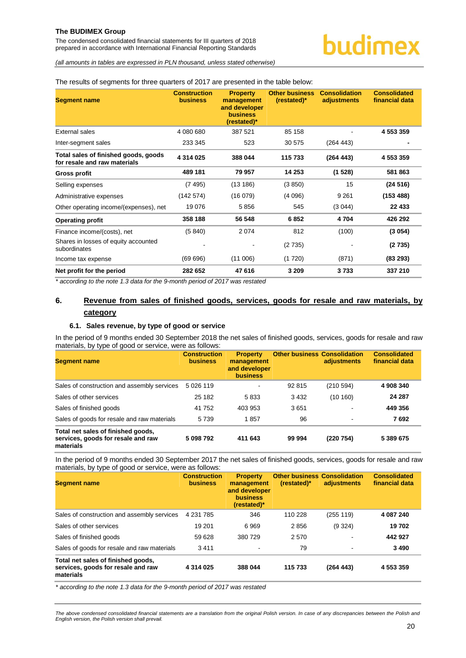The condensed consolidated financial statements for III quarters of 2018 prepared in accordance with International Financial Reporting Standards

# budimex

*(all amounts in tables are expressed in PLN thousand, unless stated otherwise)*

#### The results of segments for three quarters of 2017 are presented in the table below:

| <b>Segment name</b>                                                  | <b>Construction</b><br><b>business</b> | <b>Property</b><br>management<br>and developer<br><b>business</b><br>(restated)* | <b>Other business</b><br>$(rested)*$ | <b>Consolidation</b><br>adjustments | <b>Consolidated</b><br>financial data |
|----------------------------------------------------------------------|----------------------------------------|----------------------------------------------------------------------------------|--------------------------------------|-------------------------------------|---------------------------------------|
| External sales                                                       | 4 080 680                              | 387 521                                                                          | 85 158                               |                                     | 4 553 359                             |
| Inter-segment sales                                                  | 233 345                                | 523                                                                              | 30 575                               | (264 443)                           |                                       |
| Total sales of finished goods, goods<br>for resale and raw materials | 4 314 025                              | 388 044                                                                          | 115 733                              | (264 443)                           | 4 553 359                             |
| <b>Gross profit</b>                                                  | 489 181                                | 79 957                                                                           | 14 253                               | (1528)                              | 581863                                |
| Selling expenses                                                     | (7495)                                 | (13186)                                                                          | (3 850)                              | 15                                  | (24516)                               |
| Administrative expenses                                              | (142574)                               | (16079)                                                                          | (4096)                               | 9 2 6 1                             | (153 488)                             |
| Other operating income/(expenses), net                               | 19 0 76                                | 5856                                                                             | 545                                  | (3044)                              | 22 433                                |
| <b>Operating profit</b>                                              | 358 188                                | 56 548                                                                           | 6852                                 | 4704                                | 426 292                               |
| Finance income/(costs), net                                          | (5840)                                 | 2074                                                                             | 812                                  | (100)                               | (3054)                                |
| Shares in losses of equity accounted<br>subordinates                 |                                        |                                                                                  | (2735)                               |                                     | (2735)                                |
| Income tax expense                                                   | (69696)                                | (11006)                                                                          | (1720)                               | (871)                               | (83 293)                              |
| Net profit for the period                                            | 282 652                                | 47 616                                                                           | 3 2 0 9                              | 3733                                | 337 210                               |

*\* according to the note 1.3 data for the 9-month period of 2017 was restated*

### <span id="page-20-0"></span>**6. Revenue from sales of finished goods, services, goods for resale and raw materials, by category**

#### **6.1. Sales revenue, by type of good or service**

<span id="page-20-1"></span>In the period of 9 months ended 30 September 2018 the net sales of finished goods, services, goods for resale and raw materials, by type of good or service, were as follows:

| <b>Segment name</b>                                                                   | <b>Construction</b><br><b>business</b> | <b>Property</b><br>management<br>and developer<br><b>business</b> | <b>Other business Consolidation</b> | adjustments | <b>Consolidated</b><br>financial data |
|---------------------------------------------------------------------------------------|----------------------------------------|-------------------------------------------------------------------|-------------------------------------|-------------|---------------------------------------|
| Sales of construction and assembly services                                           | 5 0 26 119                             |                                                                   | 92 815                              | (210 594)   | 4 908 340                             |
| Sales of other services                                                               | 25 182                                 | 5833                                                              | 3 4 3 2                             | (10160)     | 24 287                                |
| Sales of finished goods                                                               | 41 752                                 | 403 953                                                           | 3651                                |             | 449 356                               |
| Sales of goods for resale and raw materials                                           | 5 7 3 9                                | 1857                                                              | 96                                  |             | 7692                                  |
| Total net sales of finished goods,<br>services, goods for resale and raw<br>materials | 5 098 792                              | 411 643                                                           | 99 994                              | (220 754)   | 5 389 675                             |

In the period of 9 months ended 30 September 2017 the net sales of finished goods, services, goods for resale and raw materials, by type of good or service, were as follows:

| <b>Segment name</b>                                                                   | <b>Construction</b><br><b>business</b> | <b>Property</b><br>management<br>and developer<br><b>business</b><br>(restated)* | <b>Other business Consolidation</b><br>(restated)* | adjustments | <b>Consolidated</b><br>financial data |
|---------------------------------------------------------------------------------------|----------------------------------------|----------------------------------------------------------------------------------|----------------------------------------------------|-------------|---------------------------------------|
| Sales of construction and assembly services                                           | 4 2 31 7 8 5                           | 346                                                                              | 110 228                                            | (255 119)   | 4 087 240                             |
| Sales of other services                                                               | 19 201                                 | 6969                                                                             | 2856                                               | (9324)      | 19702                                 |
| Sales of finished goods                                                               | 59 628                                 | 380 729                                                                          | 2570                                               |             | 442 927                               |
| Sales of goods for resale and raw materials                                           | 3411                                   |                                                                                  | 79                                                 | ٠           | 3490                                  |
| Total net sales of finished goods,<br>services, goods for resale and raw<br>materials | 4 3 1 4 0 2 5                          | 388 044                                                                          | 115 733                                            | (264443)    | 4 553 359                             |

*\* according to the note 1.3 data for the 9-month period of 2017 was restated*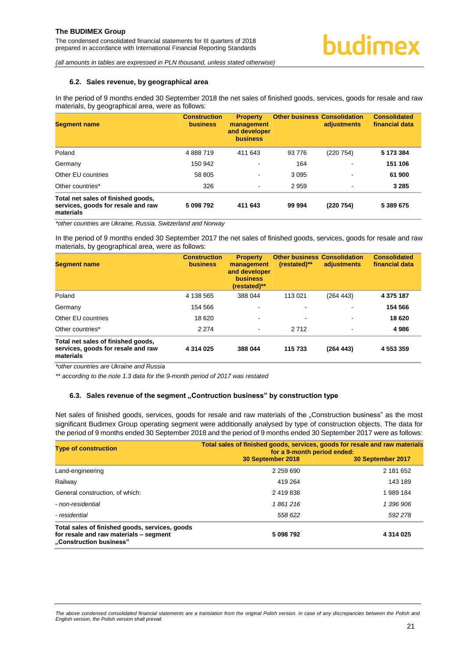#### <span id="page-21-0"></span>**6.2. Sales revenue, by geographical area**

In the period of 9 months ended 30 September 2018 the net sales of finished goods, services, goods for resale and raw materials, by geographical area, were as follows:

| <b>Segment name</b>                                                                   | <b>Construction</b><br><b>business</b> | <b>Property</b><br>management<br>and developer<br><b>business</b> | <b>Other business Consolidation</b> | adjustments | <b>Consolidated</b><br>financial data |
|---------------------------------------------------------------------------------------|----------------------------------------|-------------------------------------------------------------------|-------------------------------------|-------------|---------------------------------------|
| Poland                                                                                | 4888719                                | 411 643                                                           | 93 776                              | (220 754)   | 5 173 384                             |
| Germany                                                                               | 150 942                                |                                                                   | 164                                 |             | 151 106                               |
| Other EU countries                                                                    | 58 805                                 |                                                                   | 3 0 9 5                             |             | 61 900                                |
| Other countries*                                                                      | 326                                    | $\overline{\phantom{0}}$                                          | 2959                                | -           | 3 2 8 5                               |
| Total net sales of finished goods,<br>services, goods for resale and raw<br>materials | 5 098 792                              | 411 643                                                           | 99 994                              | (220 754)   | 5 389 675                             |

*\*other countries are Ukraine, Russia, Switzerland and Norway*

In the period of 9 months ended 30 September 2017 the net sales of finished goods, services, goods for resale and raw materials, by geographical area, were as follows:

| <b>Segment name</b>                                                                   | <b>Construction</b><br><b>business</b> | <b>Property</b><br>management<br>and developer<br><b>business</b><br>(restated)** | <b>Other business Consolidation</b><br>(restated)** | adiustments | <b>Consolidated</b><br>financial data |
|---------------------------------------------------------------------------------------|----------------------------------------|-----------------------------------------------------------------------------------|-----------------------------------------------------|-------------|---------------------------------------|
| Poland                                                                                | 4 138 565                              | 388 044                                                                           | 113 021                                             | (264 443)   | 4 375 187                             |
| Germany                                                                               | 154 566                                |                                                                                   | ۰                                                   |             | 154 566                               |
| Other EU countries                                                                    | 18 620                                 | $\,$                                                                              | ۰                                                   | -           | 18 620                                |
| Other countries*                                                                      | 2 2 7 4                                |                                                                                   | 2712                                                |             | 4986                                  |
| Total net sales of finished goods,<br>services, goods for resale and raw<br>materials | 4 3 1 4 0 2 5                          | 388 044                                                                           | 115 733                                             | (264443)    | 4 553 359                             |

*\*other countries are Ukraine and Russia* 

*\*\* according to the note 1.3 data for the 9-month period of 2017 was restated*

#### <span id="page-21-1"></span>**6.3. Sales revenue of the segment "Contruction business" by construction type**

Net sales of finished goods, services, goods for resale and raw materials of the "Construction business" as the most significant Budimex Group operating segment were additionally analysed by type of construction objects. The data for the period of 9 months ended 30 September 2018 and the period of 9 months ended 30 September 2017 were as follows:

| <b>Type of construction</b>                                                                                         | Total sales of finished goods, services, goods for resale and raw materials<br>for a 9-month period ended: |                   |  |  |
|---------------------------------------------------------------------------------------------------------------------|------------------------------------------------------------------------------------------------------------|-------------------|--|--|
|                                                                                                                     | 30 September 2018                                                                                          | 30 September 2017 |  |  |
| Land-engineering                                                                                                    | 2 259 690                                                                                                  | 2 181 652         |  |  |
| Railway                                                                                                             | 419 264                                                                                                    | 143 189           |  |  |
| General construction, of which:                                                                                     | 2 419 838                                                                                                  | 1 989 184         |  |  |
| - non-residential                                                                                                   | 1861216                                                                                                    | 1 396 906         |  |  |
| - residential                                                                                                       | 558 622                                                                                                    | 592 278           |  |  |
| Total sales of finished goods, services, goods<br>for resale and raw materials - segment<br>"Construction business" | 5 098 792                                                                                                  | 4 3 1 4 0 2 5     |  |  |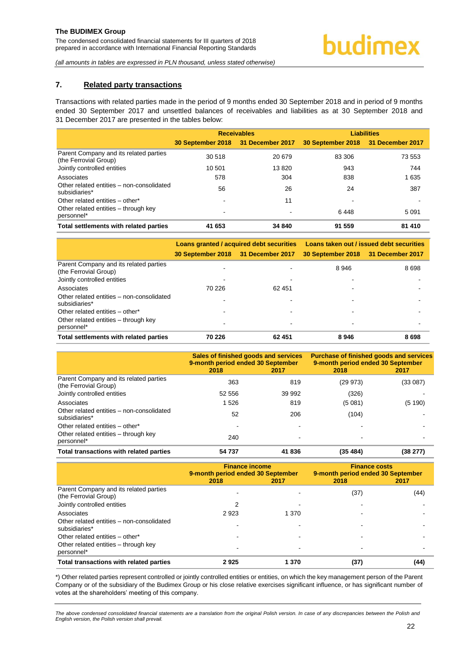### <span id="page-22-0"></span>**7. Related party transactions**

Transactions with related parties made in the period of 9 months ended 30 September 2018 and in period of 9 months ended 30 September 2017 and unsettled balances of receivables and liabilities as at 30 September 2018 and 31 December 2017 are presented in the tables below:

|                                                                 |                                    | <b>Receivables</b> | <b>Liabilities</b>                 |         |  |
|-----------------------------------------------------------------|------------------------------------|--------------------|------------------------------------|---------|--|
|                                                                 | 30 September 2018 31 December 2017 |                    | 30 September 2018 31 December 2017 |         |  |
| Parent Company and its related parties<br>(the Ferrovial Group) | 30 518                             | 20 679             | 83 306                             | 73 553  |  |
| Jointly controlled entities                                     | 10 501                             | 13820              | 943                                | 744     |  |
| Associates                                                      | 578                                | 304                | 838                                | 1635    |  |
| Other related entities - non-consolidated<br>subsidiaries*      | 56                                 | 26                 | 24                                 | 387     |  |
| Other related entities - other*                                 |                                    | 11                 |                                    |         |  |
| Other related entities – through key<br>personnel*              |                                    |                    | 6448                               | 5 0 9 1 |  |
| Total settlements with related parties                          | 41 653                             | 34 840             | 91 559                             | 81 410  |  |

|                                                                                                | Loans granted / acquired debt securities |        | Loans taken out / issued debt securities |         |  |
|------------------------------------------------------------------------------------------------|------------------------------------------|--------|------------------------------------------|---------|--|
|                                                                                                | 30 September 2018 31 December 2017       |        | 30 September 2018 31 December 2017       |         |  |
| Parent Company and its related parties<br>(the Ferrovial Group)<br>Jointly controlled entities |                                          |        | 8946                                     | 8698    |  |
| Associates                                                                                     | 70 226                                   | 62 451 |                                          |         |  |
| Other related entities - non-consolidated<br>subsidiaries*                                     |                                          |        |                                          |         |  |
| Other related entities - other*                                                                |                                          |        |                                          |         |  |
| Other related entities - through key<br>personnel*                                             |                                          |        |                                          |         |  |
| Total settlements with related parties                                                         | 70 226                                   | 62 451 | 8946                                     | 8 6 9 8 |  |

|                                                                 | Sales of finished goods and services<br>9-month period ended 30 September<br>2018 | 2017   | <b>Purchase of finished goods and services</b><br>9-month period ended 30 September<br>2018<br>2017 |          |  |
|-----------------------------------------------------------------|-----------------------------------------------------------------------------------|--------|-----------------------------------------------------------------------------------------------------|----------|--|
| Parent Company and its related parties<br>(the Ferrovial Group) | 363                                                                               | 819    | (29973)                                                                                             | (33 087) |  |
| Jointly controlled entities                                     | 52 556                                                                            | 39 992 | (326)                                                                                               |          |  |
| Associates                                                      | 1526                                                                              | 819    | (5081)                                                                                              | (5 190)  |  |
| Other related entities - non-consolidated<br>subsidiaries*      | 52                                                                                | 206    | (104)                                                                                               |          |  |
| Other related entities - other*                                 |                                                                                   |        |                                                                                                     |          |  |
| Other related entities - through key<br>personnel*              | 240                                                                               |        |                                                                                                     |          |  |
| Total transactions with related parties                         | 54 737                                                                            | 41836  | (35, 484)                                                                                           | (38 277) |  |

|                                                                 | <b>Finance income</b><br>9-month period ended 30 September<br>2018<br>2017 |       | <b>Finance costs</b><br>9-month period ended 30 September<br>2018 | 2017 |
|-----------------------------------------------------------------|----------------------------------------------------------------------------|-------|-------------------------------------------------------------------|------|
| Parent Company and its related parties<br>(the Ferrovial Group) |                                                                            |       | (37)                                                              | (44) |
| Jointly controlled entities                                     |                                                                            |       |                                                                   |      |
| Associates                                                      | 2923                                                                       | 1 370 |                                                                   |      |
| Other related entities - non-consolidated<br>subsidiaries*      |                                                                            |       |                                                                   |      |
| Other related entities - other*                                 |                                                                            |       |                                                                   |      |
| Other related entities - through key<br>personnel*              |                                                                            |       |                                                                   |      |
| Total transactions with related parties                         | 2925                                                                       | 1 370 | (37)                                                              | (44) |

\*) Other related parties represent controlled or jointly controlled entities or entities, on which the key management person of the Parent Company or of the subsidiary of the Budimex Group or his close relative exercises significant influence, or has significant number of votes at the shareholders' meeting of this company.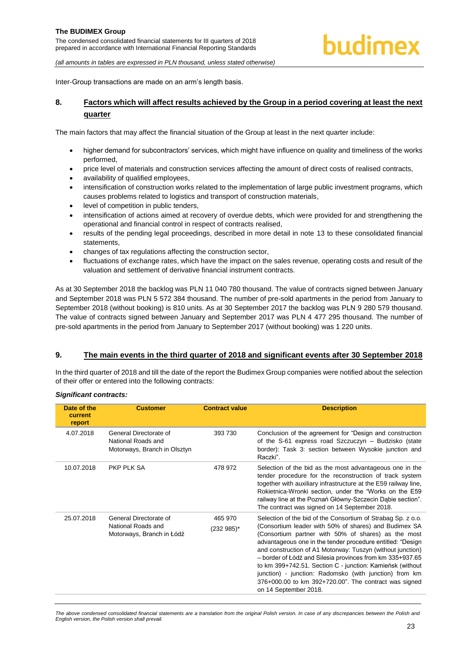prepared in accordance with International Financial Reporting Standards

*(all amounts in tables are expressed in PLN thousand, unless stated otherwise)*

Inter-Group transactions are made on an arm's length basis.

### <span id="page-23-0"></span>**8. Factors which will affect results achieved by the Group in a period covering at least the next quarter**

The main factors that may affect the financial situation of the Group at least in the next quarter include:

- higher demand for subcontractors' services, which might have influence on quality and timeliness of the works performed,
- price level of materials and construction services affecting the amount of direct costs of realised contracts,
- availability of qualified employees,
- intensification of construction works related to the implementation of large public investment programs, which causes problems related to logistics and transport of construction materials,
- level of competition in public tenders,
- intensification of actions aimed at recovery of overdue debts, which were provided for and strengthening the operational and financial control in respect of contracts realised,
- results of the pending legal proceedings, described in more detail in note [13](#page-25-1) to these consolidated financial statements,
- changes of tax regulations affecting the construction sector,
- fluctuations of exchange rates, which have the impact on the sales revenue, operating costs and result of the valuation and settlement of derivative financial instrument contracts.

As at 30 September 2018 the backlog was PLN 11 040 780 thousand. The value of contracts signed between January and September 2018 was PLN 5 572 384 thousand. The number of pre-sold apartments in the period from January to September 2018 (without booking) is 810 units. As at 30 September 2017 the backlog was PLN 9 280 579 thousand. The value of contracts signed between January and September 2017 was PLN 4 477 295 thousand. The number of pre-sold apartments in the period from January to September 2017 (without booking) was 1 220 units.

#### <span id="page-23-1"></span>**9. The main events in the third quarter of 2018 and significant events after 30 September 2018**

In the third quarter of 2018 and till the date of the report the Budimex Group companies were notified about the selection of their offer or entered into the following contracts:

#### *Significant contracts:*

| Date of the<br>current<br>report | <b>Customer</b>                                                              | <b>Contract value</b> | <b>Description</b>                                                                                                                                                                                                                                                                                                                                                                                                                                                                                                                                                             |
|----------------------------------|------------------------------------------------------------------------------|-----------------------|--------------------------------------------------------------------------------------------------------------------------------------------------------------------------------------------------------------------------------------------------------------------------------------------------------------------------------------------------------------------------------------------------------------------------------------------------------------------------------------------------------------------------------------------------------------------------------|
| 4.07.2018                        | General Directorate of<br>National Roads and<br>Motorways, Branch in Olsztyn | 393 730               | Conclusion of the agreement for "Design and construction"<br>of the S-61 express road Szczuczyn – Budzisko (state<br>border): Task 3: section between Wysokie junction and<br>Raczki".                                                                                                                                                                                                                                                                                                                                                                                         |
| 10.07.2018                       | PKP PLK SA                                                                   | 478 972               | Selection of the bid as the most advantageous one in the<br>tender procedure for the reconstruction of track system<br>together with auxiliary infrastructure at the E59 railway line,<br>Rokietnica-Wronki section, under the "Works on the E59<br>railway line at the Poznań Główny-Szczecin Dąbie section".<br>The contract was signed on 14 September 2018.                                                                                                                                                                                                                |
| 25.07.2018                       | General Directorate of<br>National Roads and<br>Motorways, Branch in Łódź    | 465 970<br>(232 985)* | Selection of the bid of the Consortium of Strabag Sp. z o.o.<br>(Consortium leader with 50% of shares) and Budimex SA<br>(Consortium partner with 50% of shares) as the most<br>advantageous one in the tender procedure entitled: "Design<br>and construction of A1 Motorway: Tuszyn (without junction)<br>- border of Łódź and Silesia provinces from km 335+937.65<br>to km 399+742.51. Section C - junction: Kamieńsk (without<br>junction) - junction: Radomsko (with junction) from km<br>376+000.00 to km 392+720.00". The contract was signed<br>on 14 September 2018. |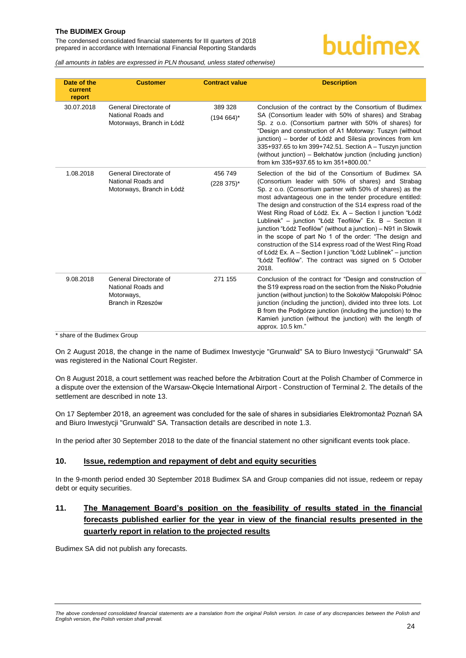The condensed consolidated financial statements for III quarters of 2018 prepared in accordance with International Financial Reporting Standards

# budimex

*(all amounts in tables are expressed in PLN thousand, unless stated otherwise)*

| Date of the<br>current<br>report | <b>Customer</b>                                                                 | <b>Contract value</b>   | <b>Description</b>                                                                                                                                                                                                                                                                                                                                                                                                                                                                                                                                                                                                                                                                                                                                   |
|----------------------------------|---------------------------------------------------------------------------------|-------------------------|------------------------------------------------------------------------------------------------------------------------------------------------------------------------------------------------------------------------------------------------------------------------------------------------------------------------------------------------------------------------------------------------------------------------------------------------------------------------------------------------------------------------------------------------------------------------------------------------------------------------------------------------------------------------------------------------------------------------------------------------------|
| 30.07.2018                       | General Directorate of<br>National Roads and<br>Motorways, Branch in Łódź       | 389 328<br>$(194664)^*$ | Conclusion of the contract by the Consortium of Budimex<br>SA (Consortium leader with 50% of shares) and Strabag<br>Sp. z o.o. (Consortium partner with 50% of shares) for<br>"Design and construction of A1 Motorway: Tuszyn (without<br>junction) - border of Łódź and Silesia provinces from km<br>335+937.65 to km 399+742.51. Section A - Tuszyn junction<br>(without junction) – Belchatów junction (including junction)<br>from km 335+937.65 to km 351+800.00."                                                                                                                                                                                                                                                                              |
| 1.08.2018                        | General Directorate of<br>National Roads and<br>Motorways, Branch in Łódź       | 456749<br>$(228 375)^*$ | Selection of the bid of the Consortium of Budimex SA<br>(Consortium leader with 50% of shares) and Strabag<br>Sp. z o.o. (Consortium partner with 50% of shares) as the<br>most advantageous one in the tender procedure entitled:<br>The design and construction of the S14 express road of the<br>West Ring Road of Łódź. Ex. A - Section I junction "Łódź<br>Lublinek" - junction "Łódź Teofilów" Ex. B - Section II<br>junction "Łódź Teofilów" (without a junction) – N91 in Słowik<br>in the scope of part No 1 of the order: "The design and<br>construction of the S14 express road of the West Ring Road<br>of Łódź Ex. A – Section I junction "Łódź Lublinek" – junction<br>"Łódź Teofilów". The contract was signed on 5 October<br>2018. |
| 9.08.2018                        | General Directorate of<br>National Roads and<br>Motorways,<br>Branch in Rzeszów | 271 155                 | Conclusion of the contract for "Design and construction of<br>the S19 express road on the section from the Nisko Południe<br>junction (without junction) to the Sokołów Małopolski Północ<br>junction (including the junction), divided into three lots. Lot<br>B from the Podgórze junction (including the junction) to the<br>Kamień junction (without the junction) with the length of<br>approx. 10.5 km."                                                                                                                                                                                                                                                                                                                                       |

\* share of the Budimex Group

On 2 August 2018, the change in the name of Budimex Inwestycje "Grunwald" SA to Biuro Inwestycji "Grunwald" SA was registered in the National Court Register.

On 8 August 2018, a court settlement was reached before the Arbitration Court at the Polish Chamber of Commerce in a dispute over the extension of the Warsaw-Okęcie International Airport - Construction of Terminal 2. The details of the settlement are described in note 13.

On 17 September 2018, an agreement was concluded for the sale of shares in subsidiaries Elektromontaż Poznań SA and Biuro Inwestycji "Grunwald" SA. Transaction details are described in note 1.3.

In the period after 30 September 2018 to the date of the financial statement no other significant events took place.

#### <span id="page-24-0"></span>**10. Issue, redemption and repayment of debt and equity securities**

In the 9-month period ended 30 September 2018 Budimex SA and Group companies did not issue, redeem or repay debt or equity securities.

# <span id="page-24-1"></span>**11. The Management Board's position on the feasibility of results stated in the financial forecasts published earlier for the year in view of the financial results presented in the quarterly report in relation to the projected results**

Budimex SA did not publish any forecasts.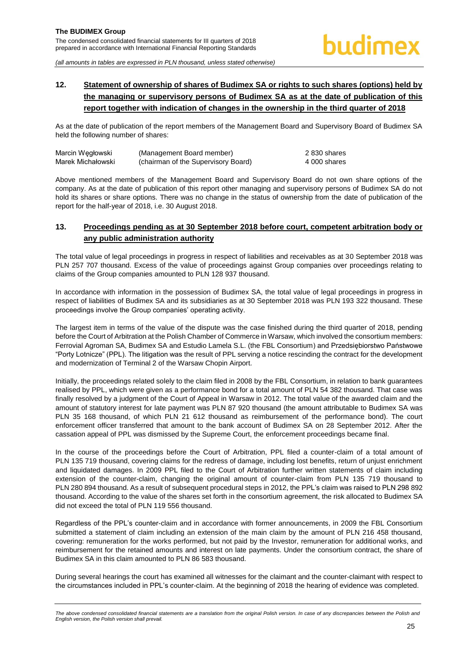# <span id="page-25-0"></span>**12. Statement of ownership of shares of Budimex SA or rights to such shares (options) held by the managing or supervisory persons of Budimex SA as at the date of publication of this report together with indication of changes in the ownership in the third quarter of 2018**

As at the date of publication of the report members of the Management Board and Supervisory Board of Budimex SA held the following number of shares:

| Marcin Wegłowski  | (Management Board member)           | 2 830 shares |
|-------------------|-------------------------------------|--------------|
| Marek Michałowski | (chairman of the Supervisory Board) | 4 000 shares |

Above mentioned members of the Management Board and Supervisory Board do not own share options of the company. As at the date of publication of this report other managing and supervisory persons of Budimex SA do not hold its shares or share options. There was no change in the status of ownership from the date of publication of the report for the half-year of 2018, i.e. 30 August 2018.

# <span id="page-25-1"></span>**13. Proceedings pending as at 30 September 2018 before court, competent arbitration body or any public administration authority**

The total value of legal proceedings in progress in respect of liabilities and receivables as at 30 September 2018 was PLN 257 707 thousand. Excess of the value of proceedings against Group companies over proceedings relating to claims of the Group companies amounted to PLN 128 937 thousand.

In accordance with information in the possession of Budimex SA, the total value of legal proceedings in progress in respect of liabilities of Budimex SA and its subsidiaries as at 30 September 2018 was PLN 193 322 thousand. These proceedings involve the Group companies' operating activity.

The largest item in terms of the value of the dispute was the case finished during the third quarter of 2018, pending before the Court of Arbitration at the Polish Chamber of Commerce in Warsaw, which involved the consortium members: Ferrovial Agroman SA, Budimex SA and Estudio Lamela S.L. (the FBL Consortium) and Przedsiębiorstwo Państwowe "Porty Lotnicze" (PPL). The litigation was the result of PPL serving a notice rescinding the contract for the development and modernization of Terminal 2 of the Warsaw Chopin Airport.

Initially, the proceedings related solely to the claim filed in 2008 by the FBL Consortium, in relation to bank guarantees realised by PPL, which were given as a performance bond for a total amount of PLN 54 382 thousand. That case was finally resolved by a judgment of the Court of Appeal in Warsaw in 2012. The total value of the awarded claim and the amount of statutory interest for late payment was PLN 87 920 thousand (the amount attributable to Budimex SA was PLN 35 168 thousand, of which PLN 21 612 thousand as reimbursement of the performance bond). The court enforcement officer transferred that amount to the bank account of Budimex SA on 28 September 2012. After the cassation appeal of PPL was dismissed by the Supreme Court, the enforcement proceedings became final.

In the course of the proceedings before the Court of Arbitration, PPL filed a counter-claim of a total amount of PLN 135 719 thousand, covering claims for the redress of damage, including lost benefits, return of unjust enrichment and liquidated damages. In 2009 PPL filed to the Court of Arbitration further written statements of claim including extension of the counter-claim, changing the original amount of counter-claim from PLN 135 719 thousand to PLN 280 894 thousand. As a result of subsequent procedural steps in 2012, the PPL's claim was raised to PLN 298 892 thousand. According to the value of the shares set forth in the consortium agreement, the risk allocated to Budimex SA did not exceed the total of PLN 119 556 thousand.

Regardless of the PPL's counter-claim and in accordance with former announcements, in 2009 the FBL Consortium submitted a statement of claim including an extension of the main claim by the amount of PLN 216 458 thousand, covering: remuneration for the works performed, but not paid by the Investor, remuneration for additional works, and reimbursement for the retained amounts and interest on late payments. Under the consortium contract, the share of Budimex SA in this claim amounted to PLN 86 583 thousand.

During several hearings the court has examined all witnesses for the claimant and the counter-claimant with respect to the circumstances included in PPL's counter-claim. At the beginning of 2018 the hearing of evidence was completed.

The above condensed consolidated financial statements are a translation from the original Polish version. In case of any discrepancies between the Polish and *English version, the Polish version shall prevail.*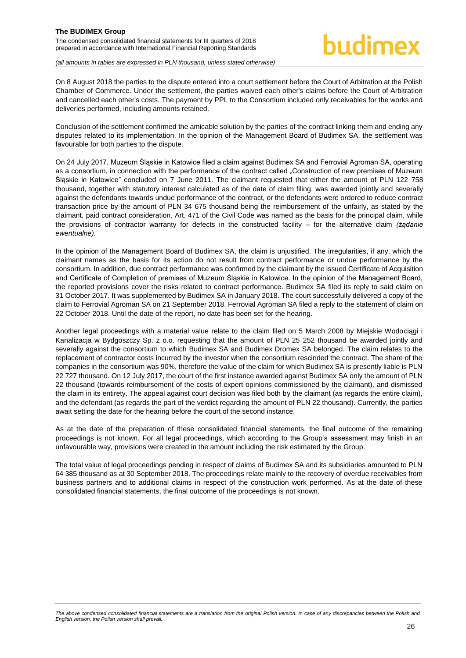# hudimex

*(all amounts in tables are expressed in PLN thousand, unless stated otherwise)*

On 8 August 2018 the parties to the dispute entered into a court settlement before the Court of Arbitration at the Polish Chamber of Commerce. Under the settlement, the parties waived each other's claims before the Court of Arbitration and cancelled each other's costs. The payment by PPL to the Consortium included only receivables for the works and deliveries performed, including amounts retained.

Conclusion of the settlement confirmed the amicable solution by the parties of the contract linking them and ending any disputes related to its implementation. In the opinion of the Management Board of Budimex SA, the settlement was favourable for both parties to the dispute.

On 24 July 2017, Muzeum Śląskie in Katowice filed a claim against Budimex SA and Ferrovial Agroman SA, operating as a consortium, in connection with the performance of the contract called "Construction of new premises of Muzeum Śląskie in Katowice" concluded on 7 June 2011. The claimant requested that either the amount of PLN 122 758 thousand, together with statutory interest calculated as of the date of claim filing, was awarded jointly and severally against the defendants towards undue performance of the contract, or the defendants were ordered to reduce contract transaction price by the amount of PLN 34 675 thousand being the reimbursement of the unfairly, as stated by the claimant, paid contract consideration. Art. 471 of the Civil Code was named as the basis for the principal claim, while the provisions of contractor warranty for defects in the constructed facility – for the alternative claim *(żądanie ewentualne).*

In the opinion of the Management Board of Budimex SA, the claim is unjustified. The irregularities, if any, which the claimant names as the basis for its action do not result from contract performance or undue performance by the consortium. In addition, due contract performance was confirmed by the claimant by the issued Certificate of Acquisition and Certificate of Completion of premises of Muzeum Śląskie in Katowice. In the opinion of the Management Board, the reported provisions cover the risks related to contract performance. Budimex SA filed its reply to said claim on 31 October 2017. It was supplemented by Budimex SA in January 2018. The court successfully delivered a copy of the claim to Ferrovial Agroman SA on 21 September 2018. Ferrovial Agroman SA filed a reply to the statement of claim on 22 October 2018. Until the date of the report, no date has been set for the hearing.

Another legal proceedings with a material value relate to the claim filed on 5 March 2008 by Miejskie Wodociągi i Kanalizacja w Bydgoszczy Sp. z o.o. requesting that the amount of PLN 25 252 thousand be awarded jointly and severally against the consortium to which Budimex SA and Budimex Dromex SA belonged. The claim relates to the replacement of contractor costs incurred by the investor when the consortium rescinded the contract. The share of the companies in the consortium was 90%, therefore the value of the claim for which Budimex SA is presently liable is PLN 22 727 thousand. On 12 July 2017, the court of the first instance awarded against Budimex SA only the amount of PLN 22 thousand (towards reimbursement of the costs of expert opinions commissioned by the claimant), and dismissed the claim in its entirety. The appeal against court decision was filed both by the claimant (as regards the entire claim), and the defendant (as regards the part of the verdict regarding the amount of PLN 22 thousand). Currently, the parties await setting the date for the hearing before the court of the second instance.

As at the date of the preparation of these consolidated financial statements, the final outcome of the remaining proceedings is not known. For all legal proceedings, which according to the Group's assessment may finish in an unfavourable way, provisions were created in the amount including the risk estimated by the Group.

The total value of legal proceedings pending in respect of claims of Budimex SA and its subsidiaries amounted to PLN 64 385 thousand as at 30 September 2018. The proceedings relate mainly to the recovery of overdue receivables from business partners and to additional claims in respect of the construction work performed. As at the date of these consolidated financial statements, the final outcome of the proceedings is not known.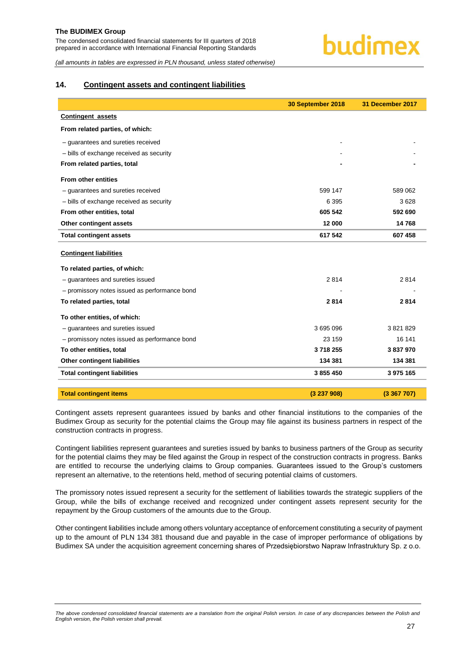*(all amounts in tables are expressed in PLN thousand, unless stated otherwise)*

#### <span id="page-27-0"></span>**14. Contingent assets and contingent liabilities**

|                                               | 30 September 2018 | 31 December 2017 |
|-----------------------------------------------|-------------------|------------------|
| <b>Contingent assets</b>                      |                   |                  |
| From related parties, of which:               |                   |                  |
| - quarantees and sureties received            |                   |                  |
| - bills of exchange received as security      |                   |                  |
| From related parties, total                   |                   |                  |
| <b>From other entities</b>                    |                   |                  |
| - quarantees and sureties received            | 599 147           | 589 062          |
| - bills of exchange received as security      | 6 3 9 5           | 3628             |
| From other entities, total                    | 605 542           | 592 690          |
| Other contingent assets                       | 12 000            | 14768            |
| <b>Total contingent assets</b>                | 617 542           | 607 458          |
| <b>Contingent liabilities</b>                 |                   |                  |
| To related parties, of which:                 |                   |                  |
| - guarantees and sureties issued              | 2814              | 2814             |
| - promissory notes issued as performance bond |                   |                  |
| To related parties, total                     | 2814              | 2814             |
| To other entities, of which:                  |                   |                  |
| - guarantees and sureties issued              | 3 695 096         | 3 821 829        |
| - promissory notes issued as performance bond | 23 159            | 16 141           |
| To other entities, total                      | 3718255           | 3837970          |
| <b>Other contingent liabilities</b>           | 134 381           | 134 381          |
| <b>Total contingent liabilities</b>           | 3 855 450         | 3 975 165        |
|                                               |                   |                  |
| <b>Total contingent items</b>                 | (3237908)         | (3367707)        |

Contingent assets represent guarantees issued by banks and other financial institutions to the companies of the Budimex Group as security for the potential claims the Group may file against its business partners in respect of the construction contracts in progress.

Contingent liabilities represent guarantees and sureties issued by banks to business partners of the Group as security for the potential claims they may be filed against the Group in respect of the construction contracts in progress. Banks are entitled to recourse the underlying claims to Group companies. Guarantees issued to the Group's customers represent an alternative, to the retentions held, method of securing potential claims of customers.

The promissory notes issued represent a security for the settlement of liabilities towards the strategic suppliers of the Group, while the bills of exchange received and recognized under contingent assets represent security for the repayment by the Group customers of the amounts due to the Group.

Other contingent liabilities include among others voluntary acceptance of enforcement constituting a security of payment up to the amount of PLN 134 381 thousand due and payable in the case of improper performance of obligations by Budimex SA under the acquisition agreement concerning shares of Przedsiębiorstwo Napraw Infrastruktury Sp. z o.o.